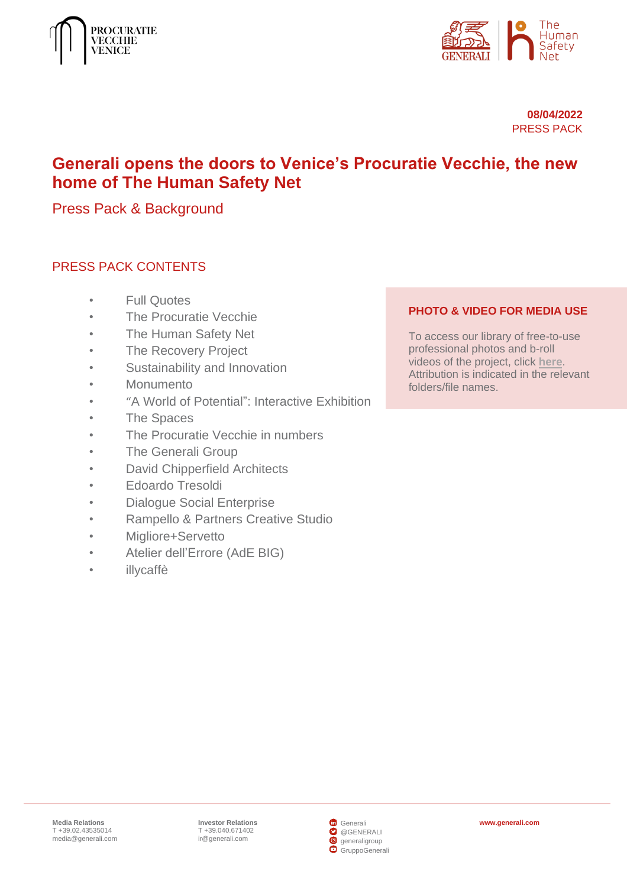



**08/04/2022** PRESS PACK

# **Generali opens the doors to Venice's Procuratie Vecchie, the new home of The Human Safety Net**

Press Pack & Background

# PRESS PACK CONTENTS

- [Full Quotes](#page-1-0)
- **[The Procuratie Vecchie](#page-4-0)**
- [The Human Safety Net](#page-5-0)
- [The Recovery Project](#page-8-0)
- [Sustainability and Innovation](#page-9-0)
- **[Monumento](#page-9-1)**
- "[A World of Potential": Interactive Exhibition](#page-11-0)
- [The Spaces](#page-14-0)
- [The Procuratie Vecchie in numbers](#page-17-0)
- [The Generali Group](#page-18-0)
- [David Chipperfield Architects](#page-19-0)
- [Edoardo Tresoldi](#page-20-0)
- [Dialogue Social Enterprise](#page-21-0)
- [Rampello & Partners Creative Studio](#page-21-1)
- [Migliore+Servetto](#page-22-0)
- [Atelier dell'Errore](#page-23-0) (AdE BIG)
- [illycaffè](#page-24-0)

#### **PHOTO & VIDEO FOR MEDIA USE**

To access our library of free-to-use professional photos and b-roll videos of the project, click **[here](https://www.thehumansafetynet.org/doc/jcr:a1454375-aa06-4a5c-b982-0767095c2019/PV-images-video-for-media.pdf/lang:en/PV-images-video-for-media.pdf)**. Attribution is indicated in the relevant folders/file names.

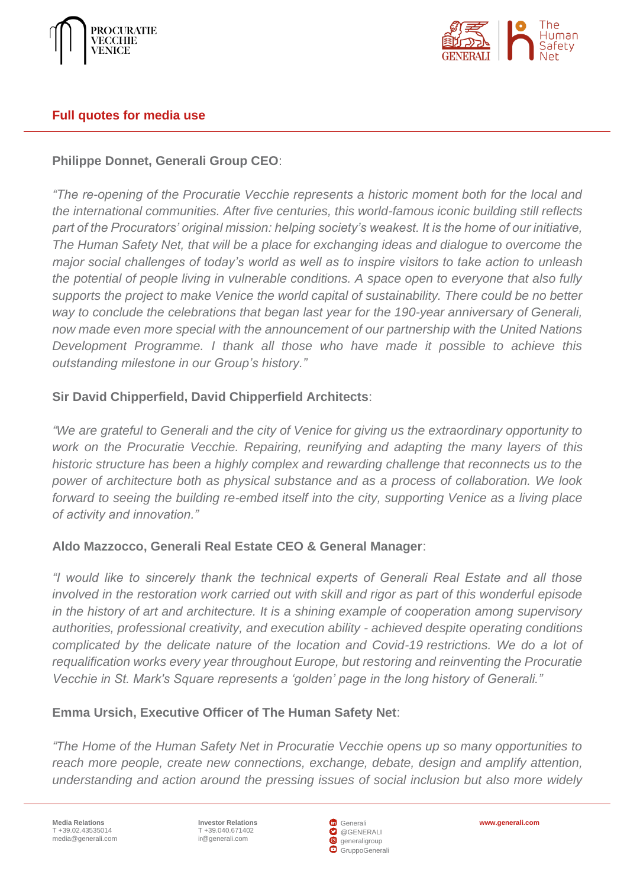



#### <span id="page-1-0"></span>**Full quotes for media use**

## **Philippe Donnet, Generali Group CEO**:

*"The re-opening of the Procuratie Vecchie represents a historic moment both for the local and the international communities. After five centuries, this world-famous iconic building still reflects part of the Procurators' original mission: helping society's weakest. It is the home of our initiative, The Human Safety Net, that will be a place for exchanging ideas and dialogue to overcome the major social challenges of today's world as well as to inspire visitors to take action to unleash the potential of people living in vulnerable conditions. A space open to everyone that also fully supports the project to make Venice the world capital of sustainability. There could be no better way to conclude the celebrations that began last year for the 190-year anniversary of Generali, now made even more special with the announcement of our partnership with the United Nations Development Programme. I thank all those who have made it possible to achieve this outstanding milestone in our Group's history."*

## **Sir David Chipperfield, David Chipperfield Architects**:

*"We are grateful to Generali and the city of Venice for giving us the extraordinary opportunity to work on the Procuratie Vecchie. Repairing, reunifying and adapting the many layers of this historic structure has been a highly complex and rewarding challenge that reconnects us to the power of architecture both as physical substance and as a process of collaboration. We look forward to seeing the building re-embed itself into the city, supporting Venice as a living place of activity and innovation."*

## **Aldo Mazzocco, Generali Real Estate CEO & General Manager**:

*"I would like to sincerely thank the technical experts of Generali Real Estate and all those involved in the restoration work carried out with skill and rigor as part of this wonderful episode in the history of art and architecture. It is a shining example of cooperation among supervisory authorities, professional creativity, and execution ability - achieved despite operating conditions complicated by the delicate nature of the location and Covid-19 restrictions. We do a lot of requalification works every year throughout Europe, but restoring and reinventing the Procuratie Vecchie in St. Mark's Square represents a 'golden' page in the long history of Generali."*

## **Emma Ursich, Executive Officer of The Human Safety Net**:

*"The Home of the Human Safety Net in Procuratie Vecchie opens up so many opportunities to reach more people, create new connections, exchange, debate, design and amplify attention, understanding and action around the pressing issues of social inclusion but also more widely* 

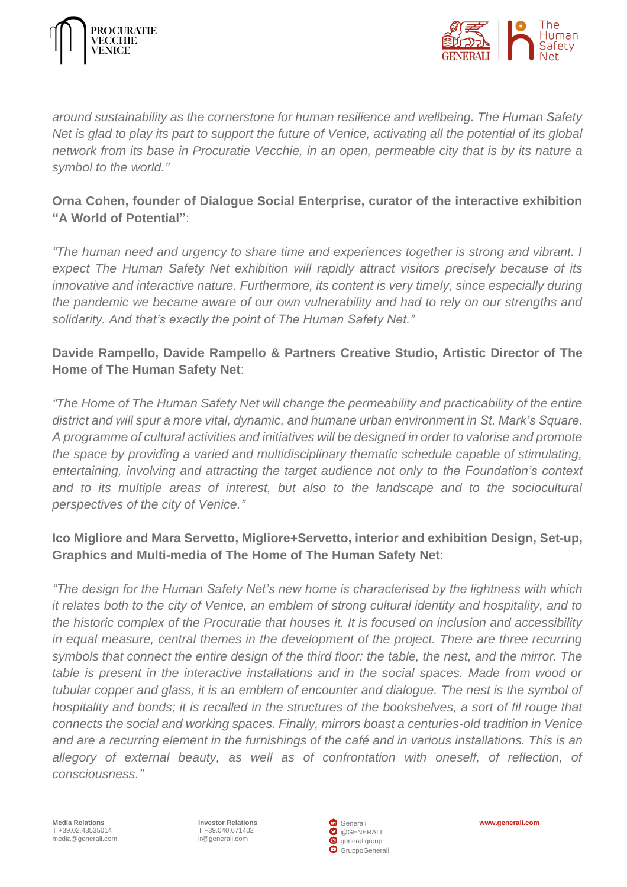



*around sustainability as the cornerstone for human resilience and wellbeing. The Human Safety Net is glad to play its part to support the future of Venice, activating all the potential of its global network from its base in Procuratie Vecchie, in an open, permeable city that is by its nature a symbol to the world."*

# **Orna Cohen, founder of Dialogue Social Enterprise, curator of the interactive exhibition "A World of Potential"**:

*"The human need and urgency to share time and experiences together is strong and vibrant. I expect The Human Safety Net exhibition will rapidly attract visitors precisely because of its innovative and interactive nature. Furthermore, its content is very timely, since especially during the pandemic we became aware of our own vulnerability and had to rely on our strengths and solidarity. And that's exactly the point of The Human Safety Net."*

# **Davide Rampello, Davide Rampello & Partners Creative Studio, Artistic Director of The Home of The Human Safety Net**:

*"The Home of The Human Safety Net will change the permeability and practicability of the entire district and will spur a more vital, dynamic, and humane urban environment in St. Mark's Square. A programme of cultural activities and initiatives will be designed in order to valorise and promote the space by providing a varied and multidisciplinary thematic schedule capable of stimulating, entertaining, involving and attracting the target audience not only to the Foundation's context*  and to its multiple areas of interest, but also to the landscape and to the sociocultural *perspectives of the city of Venice."*

# **Ico Migliore and Mara Servetto, Migliore+Servetto, interior and exhibition Design, Set-up, Graphics and Multi-media of The Home of The Human Safety Net**:

*"The design for the Human Safety Net's new home is characterised by the lightness with which it relates both to the city of Venice, an emblem of strong cultural identity and hospitality, and to the historic complex of the Procuratie that houses it. It is focused on inclusion and accessibility in equal measure, central themes in the development of the project. There are three recurring symbols that connect the entire design of the third floor: the table, the nest, and the mirror. The table is present in the interactive installations and in the social spaces. Made from wood or tubular copper and glass, it is an emblem of encounter and dialogue. The nest is the symbol of hospitality and bonds; it is recalled in the structures of the bookshelves, a sort of fil rouge that connects the social and working spaces. Finally, mirrors boast a centuries-old tradition in Venice and are a recurring element in the furnishings of the café and in various installations. This is an*  allegory of external beauty, as well as of confrontation with oneself, of reflection, of *consciousness."*

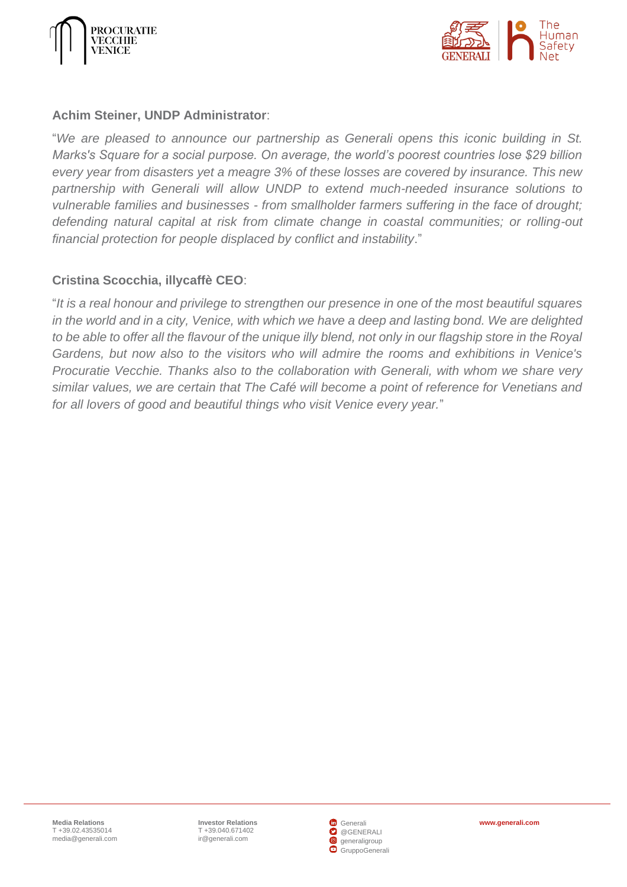



#### **Achim Steiner, UNDP Administrator**:

"*We are pleased to announce our partnership as Generali opens this iconic building in St. Marks's Square for a social purpose. On average, the world's poorest countries lose \$29 billion every year from disasters yet a meagre 3% of these losses are covered by insurance. This new partnership with Generali will allow UNDP to extend much-needed insurance solutions to vulnerable families and businesses - from smallholder farmers suffering in the face of drought; defending natural capital at risk from climate change in coastal communities; or rolling-out financial protection for people displaced by conflict and instability*."

#### **Cristina Scocchia, illycaffè CEO**:

"*It is a real honour and privilege to strengthen our presence in one of the most beautiful squares in the world and in a city, Venice, with which we have a deep and lasting bond. We are delighted to be able to offer all the flavour of the unique illy blend, not only in our flagship store in the Royal Gardens, but now also to the visitors who will admire the rooms and exhibitions in Venice's Procuratie Vecchie. Thanks also to the collaboration with Generali, with whom we share very similar values, we are certain that The Café will become a point of reference for Venetians and for all lovers of good and beautiful things who visit Venice every year.*"

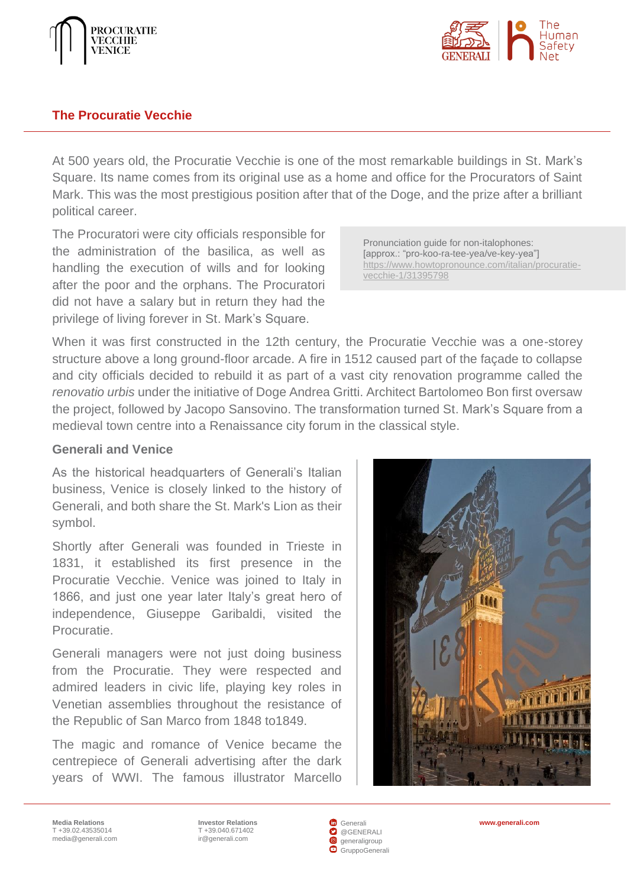



#### <span id="page-4-0"></span>**The Procuratie Vecchie**

At 500 years old, the Procuratie Vecchie is one of the most remarkable buildings in St. Mark's Square. Its name comes from its original use as a home and office for the Procurators of Saint Mark. This was the most prestigious position after that of the Doge, and the prize after a brilliant political career.

The Procuratori were city officials responsible for the administration of the basilica, as well as handling the execution of wills and for looking after the poor and the orphans. The Procuratori did not have a salary but in return they had the privilege of living forever in St. Mark's Square.

Pronunciation guide for non-italophones: [approx.: "pro-koo-ra-tee-yea/ve-key-yea"] [https://www.howtopronounce.com/italian/procuratie](https://www.howtopronounce.com/italian/procuratie-vecchie-1/31395798)[vecchie-1/31395798](https://www.howtopronounce.com/italian/procuratie-vecchie-1/31395798)

When it was first constructed in the 12th century, the Procuratie Vecchie was a one-storey structure above a long ground-floor arcade. A fire in 1512 caused part of the façade to collapse and city officials decided to rebuild it as part of a vast city renovation programme called the *renovatio urbis* under the initiative of Doge Andrea Gritti. Architect Bartolomeo Bon first oversaw the project, followed by Jacopo Sansovino. The transformation turned St. Mark's Square from a medieval town centre into a Renaissance city forum in the classical style.

#### **Generali and Venice**

As the historical headquarters of Generali's Italian business, Venice is closely linked to the history of Generali, and both share the St. Mark's Lion as their symbol.

Shortly after Generali was founded in Trieste in 1831, it established its first presence in the Procuratie Vecchie. Venice was joined to Italy in 1866, and just one year later Italy's great hero of independence, Giuseppe Garibaldi, visited the **Procuratie.** 

Generali managers were not just doing business from the Procuratie. They were respected and admired leaders in civic life, playing key roles in Venetian assemblies throughout the resistance of the Republic of San Marco from 1848 to1849.

The magic and romance of Venice became the centrepiece of Generali advertising after the dark years of WWI. The famous illustrator Marcello



**Media Relations** T +39.02.43535014 [media@generali.com](mailto:media@generali.com)

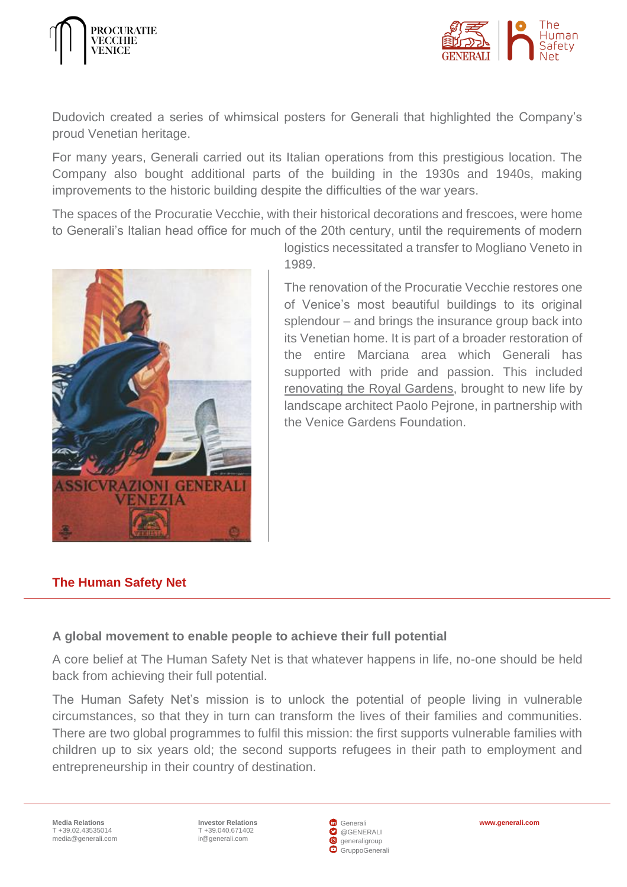



Dudovich created a series of whimsical posters for Generali that highlighted the Company's proud Venetian heritage.

For many years, Generali carried out its Italian operations from this prestigious location. The Company also bought additional parts of the building in the 1930s and 1940s, making improvements to the historic building despite the difficulties of the war years.

The spaces of the Procuratie Vecchie, with their historical decorations and frescoes, were home to Generali's Italian head office for much of the 20th century, until the requirements of modern



1989.

The renovation of the Procuratie Vecchie restores one of Venice's most beautiful buildings to its original splendour – and brings the insurance group back into its Venetian home. It is part of a broader restoration of the entire Marciana area which Generali has supported with pride and passion. This included [renovating the Royal Gardens,](#page-16-0) brought to new life by landscape architect Paolo Pejrone, in partnership with the Venice Gardens Foundation.

logistics necessitated a transfer to Mogliano Veneto in

# <span id="page-5-0"></span>**The Human Safety Net**

## **A global movement to enable people to achieve their full potential**

A core belief at The Human Safety Net is that whatever happens in life, no-one should be held back from achieving their full potential.

The Human Safety Net's mission is to unlock the potential of people living in vulnerable circumstances, so that they in turn can transform the lives of their families and communities. There are two global programmes to fulfil this mission: the first supports vulnerable families with children up to six years old; the second supports refugees in their path to employment and entrepreneurship in their country of destination.

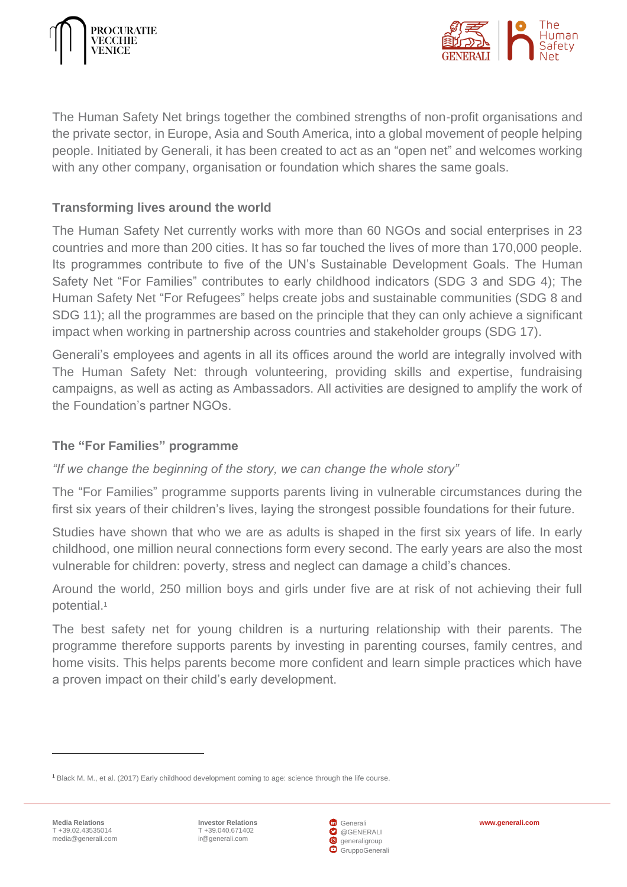



The Human Safety Net brings together the combined strengths of non-profit organisations and the private sector, in Europe, Asia and South America, into a global movement of people helping people. Initiated by Generali, it has been created to act as an "open net" and welcomes working with any other company, organisation or foundation which shares the same goals.

#### **Transforming lives around the world**

The Human Safety Net currently works with more than 60 NGOs and social enterprises in 23 countries and more than 200 cities. It has so far touched the lives of more than 170,000 people. Its programmes contribute to five of the UN's Sustainable Development Goals. The Human Safety Net "For Families" contributes to early childhood indicators (SDG 3 and SDG 4); The Human Safety Net "For Refugees" helps create jobs and sustainable communities (SDG 8 and SDG 11); all the programmes are based on the principle that they can only achieve a significant impact when working in partnership across countries and stakeholder groups (SDG 17).

Generali's employees and agents in all its offices around the world are integrally involved with The Human Safety Net: through volunteering, providing skills and expertise, fundraising campaigns, as well as acting as Ambassadors. All activities are designed to amplify the work of the Foundation's partner NGOs.

#### **The "For Families" programme**

*"If we change the beginning of the story, we can change the whole story"*

The "For Families" programme supports parents living in vulnerable circumstances during the first six years of their children's lives, laying the strongest possible foundations for their future.

Studies have shown that who we are as adults is shaped in the first six years of life. In early childhood, one million neural connections form every second. The early years are also the most vulnerable for children: poverty, stress and neglect can damage a child's chances.

Around the world, 250 million boys and girls under five are at risk of not achieving their full potential. 1

The best safety net for young children is a nurturing relationship with their parents. The programme therefore supports parents by investing in parenting courses, family centres, and home visits. This helps parents become more confident and learn simple practices which have a proven impact on their child's early development.



<sup>1</sup> Black M. M., et al. (2017) Early childhood development coming to age: science through the life course.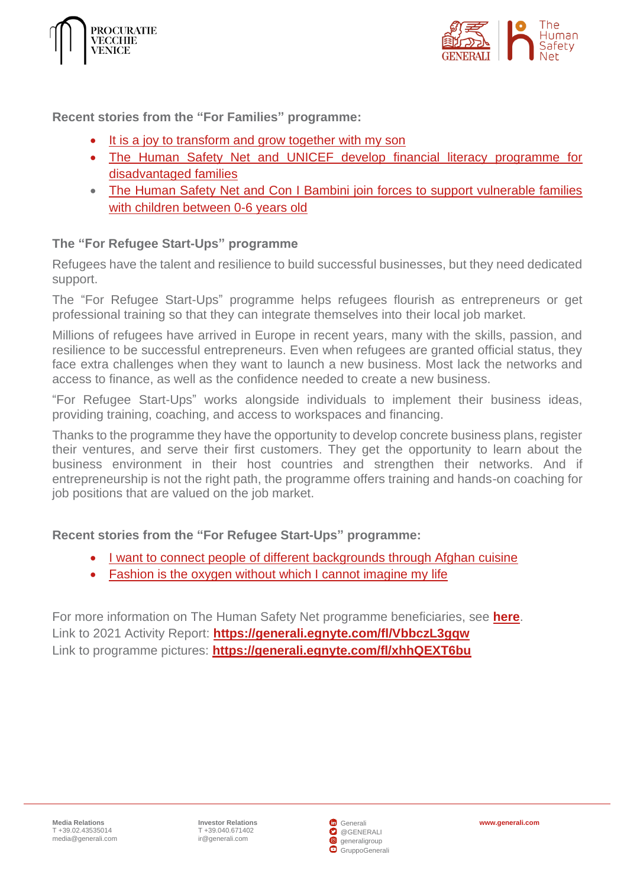



**Recent stories from the "For Families" programme:**

- [It is a joy to transform and grow together with my son](https://www.thehumansafetynet.org/stories-and-news/people-stories/all/My-son-s-transformation-with-unlimited-care-and-love)
- [The Human Safety Net and UNICEF develop financial literacy programme for](https://www.thehumansafetynet.org/stories-and-news/news/all/2022/The-Human-Safety-Net-and-UNICEF-develop-financial-literacy-programme-for-disadvantaged-families)  [disadvantaged families](https://www.thehumansafetynet.org/stories-and-news/news/all/2022/The-Human-Safety-Net-and-UNICEF-develop-financial-literacy-programme-for-disadvantaged-families)
- [The Human Safety Net and Con I Bambini join forces to support vulnerable families](https://www.thehumansafetynet.org/stories-and-news/news/all/The-Human-Safety-Net-and-Con-I-Bambini-join-forces)  [with children between 0-6 years old](https://www.thehumansafetynet.org/stories-and-news/news/all/The-Human-Safety-Net-and-Con-I-Bambini-join-forces)

#### **The "For Refugee Start-Ups" programme**

Refugees have the talent and resilience to build successful businesses, but they need dedicated support.

The "For Refugee Start-Ups" programme helps refugees flourish as entrepreneurs or get professional training so that they can integrate themselves into their local job market.

Millions of refugees have arrived in Europe in recent years, many with the skills, passion, and resilience to be successful entrepreneurs. Even when refugees are granted official status, they face extra challenges when they want to launch a new business. Most lack the networks and access to finance, as well as the confidence needed to create a new business.

"For Refugee Start-Ups" works alongside individuals to implement their business ideas, providing training, coaching, and access to workspaces and financing.

Thanks to the programme they have the opportunity to develop concrete business plans, register their ventures, and serve their first customers. They get the opportunity to learn about the business environment in their host countries and strengthen their networks. And if entrepreneurship is not the right path, the programme offers training and hands-on coaching for job positions that are valued on the job market.

#### **Recent stories from the "For Refugee Start-Ups" programme:**

- [I want to connect people of different backgrounds through Afghan cuisine](https://www.thehumansafetynet.org/stories-and-news/people-stories/all/I-want-to-connect-people-of-different-backgrounds-through-Afghan-cuisine)
- [Fashion is the oxygen without which I cannot imagine my life](https://www.thehumansafetynet.org/stories-and-news/people-stories/all/Fashion-is-the-oxygen-without-which-I-cannot-imagine-my-life)

For more information on The Human Safety Net programme beneficiaries, see **[here](https://www.thehumansafetynet.org/stories-and-news/people-stories/all)**. Link to 2021 Activity Report: **<https://generali.egnyte.com/fl/VbbczL3gqw>** Link to programme pictures: **<https://generali.egnyte.com/fl/xhhQEXT6bu>**

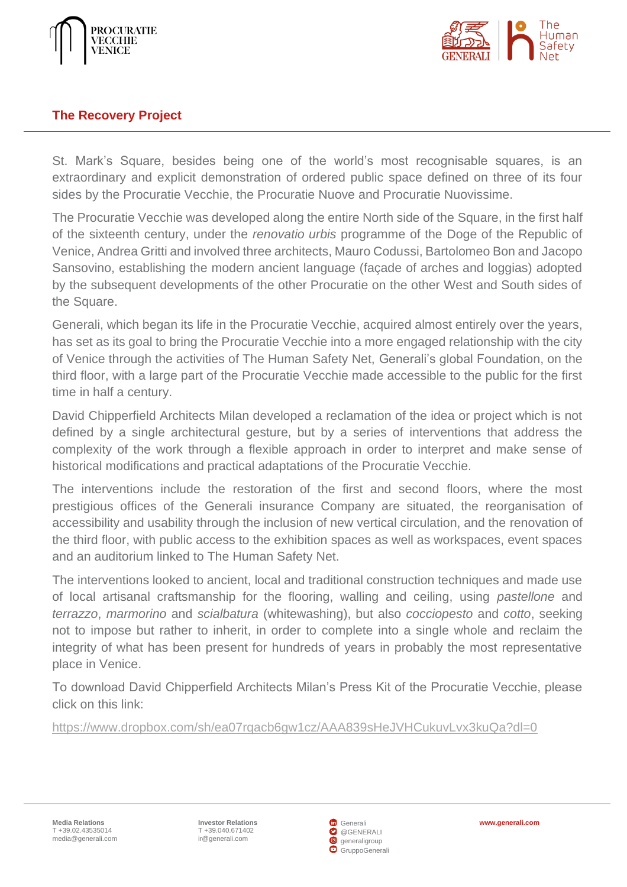



## <span id="page-8-0"></span>**The Recovery Project**

St. Mark's Square, besides being one of the world's most recognisable squares, is an extraordinary and explicit demonstration of ordered public space defined on three of its four sides by the Procuratie Vecchie, the Procuratie Nuove and Procuratie Nuovissime.

The Procuratie Vecchie was developed along the entire North side of the Square, in the first half of the sixteenth century, under the *renovatio urbis* programme of the Doge of the Republic of Venice, Andrea Gritti and involved three architects, Mauro Codussi, Bartolomeo Bon and Jacopo Sansovino, establishing the modern ancient language (façade of arches and loggias) adopted by the subsequent developments of the other Procuratie on the other West and South sides of the Square.

Generali, which began its life in the Procuratie Vecchie, acquired almost entirely over the years, has set as its goal to bring the Procuratie Vecchie into a more engaged relationship with the city of Venice through the activities of The Human Safety Net, Generali's global Foundation, on the third floor, with a large part of the Procuratie Vecchie made accessible to the public for the first time in half a century.

David Chipperfield Architects Milan developed a reclamation of the idea or project which is not defined by a single architectural gesture, but by a series of interventions that address the complexity of the work through a flexible approach in order to interpret and make sense of historical modifications and practical adaptations of the Procuratie Vecchie.

The interventions include the restoration of the first and second floors, where the most prestigious offices of the Generali insurance Company are situated, the reorganisation of accessibility and usability through the inclusion of new vertical circulation, and the renovation of the third floor, with public access to the exhibition spaces as well as workspaces, event spaces and an auditorium linked to The Human Safety Net.

The interventions looked to ancient, local and traditional construction techniques and made use of local artisanal craftsmanship for the flooring, walling and ceiling, using *pastellone* and *terrazzo*, *marmorino* and *scialbatura* (whitewashing), but also *cocciopesto* and *cotto*, seeking not to impose but rather to inherit, in order to complete into a single whole and reclaim the integrity of what has been present for hundreds of years in probably the most representative place in Venice.

To download David Chipperfield Architects Milan's Press Kit of the Procuratie Vecchie, please click on this link:

<https://www.dropbox.com/sh/ea07rqacb6gw1cz/AAA839sHeJVHCukuvLvx3kuQa?dl=0>

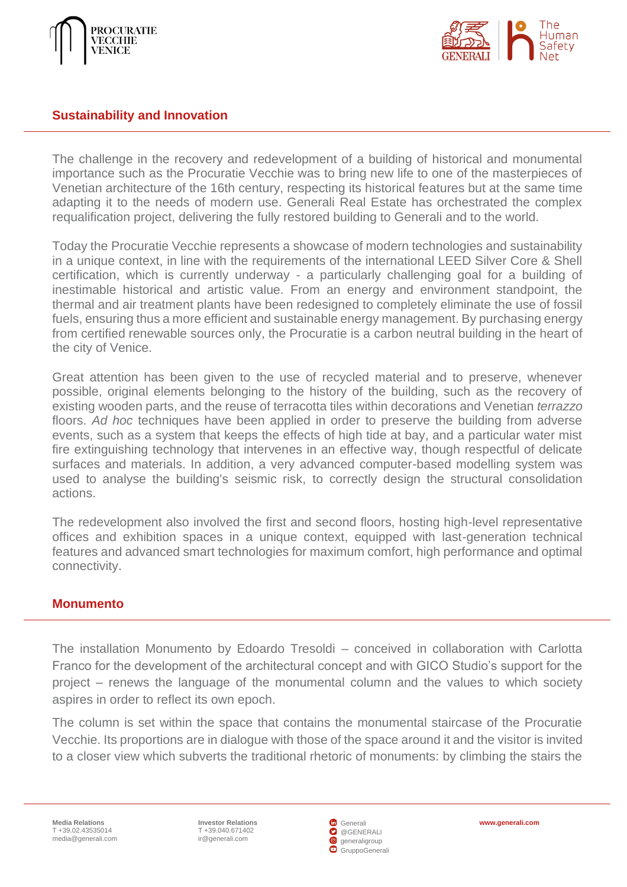



#### <span id="page-9-0"></span>**Sustainability and Innovation**

The challenge in the recovery and redevelopment of a building of historical and monumental importance such as the Procuratie Vecchie was to bring new life to one of the masterpieces of Venetian architecture of the 16th century, respecting its historical features but at the same time adapting it to the needs of modern use. Generali Real Estate has orchestrated the complex requalification project, delivering the fully restored building to Generali and to the world.

Today the Procuratie Vecchie represents a showcase of modern technologies and sustainability in a unique context, in line with the requirements of the international LEED Silver Core & Shell certification, which is currently underway - a particularly challenging goal for a building of inestimable historical and artistic value. From an energy and environment standpoint, the thermal and air treatment plants have been redesigned to completely eliminate the use of fossil fuels, ensuring thus a more efficient and sustainable energy management. By purchasing energy from certified renewable sources only, the Procuratie is a carbon neutral building in the heart of the city of Venice.

Great attention has been given to the use of recycled material and to preserve, whenever possible, original elements belonging to the history of the building, such as the recovery of existing wooden parts, and the reuse of terracotta tiles within decorations and Venetian *terrazzo* floors. *Ad hoc* techniques have been applied in order to preserve the building from adverse events, such as a system that keeps the effects of high tide at bay, and a particular water mist fire extinguishing technology that intervenes in an effective way, though respectful of delicate surfaces and materials. In addition, a very advanced computer-based modelling system was used to analyse the building's seismic risk, to correctly design the structural consolidation actions.

The redevelopment also involved the first and second floors, hosting high-level representative offices and exhibition spaces in a unique context, equipped with last-generation technical features and advanced smart technologies for maximum comfort, high performance and optimal connectivity.

#### <span id="page-9-1"></span>**Monumento**

The installation Monumento by Edoardo Tresoldi – conceived in collaboration with Carlotta Franco for the development of the architectural concept and with GICO Studio's support for the project – renews the language of the monumental column and the values to which society aspires in order to reflect its own epoch.

The column is set within the space that contains the monumental staircase of the Procuratie Vecchie. Its proportions are in dialogue with those of the space around it and the visitor is invited to a closer view which subverts the traditional rhetoric of monuments: by climbing the stairs the

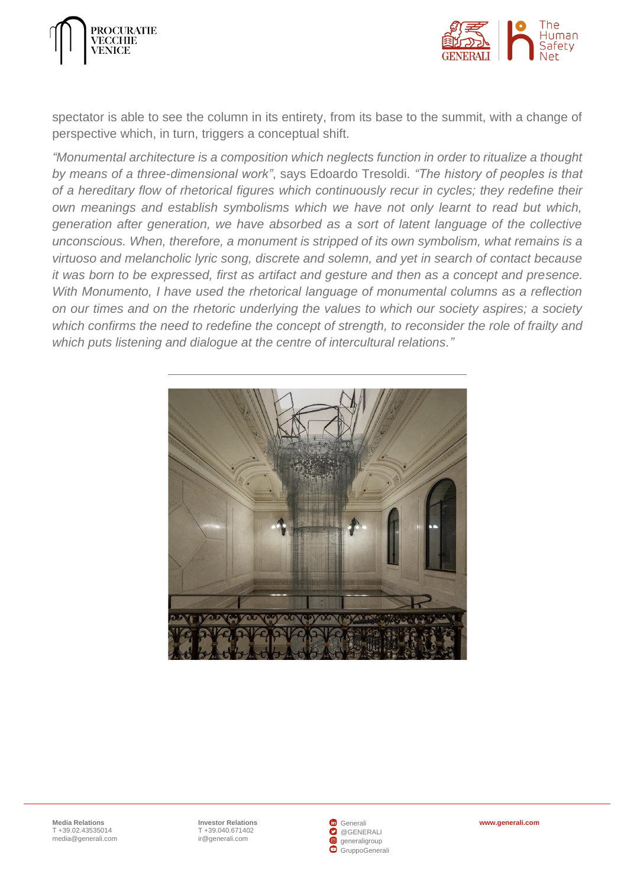



spectator is able to see the column in its entirety, from its base to the summit, with a change of perspective which, in turn, triggers a conceptual shift.

*"Monumental architecture is a composition which neglects function in order to ritualize a thought by means of a three-dimensional work"*, says Edoardo Tresoldi*. "The history of peoples is that of a hereditary flow of rhetorical figures which continuously recur in cycles; they redefine their own meanings and establish symbolisms which we have not only learnt to read but which, generation after generation, we have absorbed as a sort of latent language of the collective unconscious. When, therefore, a monument is stripped of its own symbolism, what remains is a virtuoso and melancholic lyric song, discrete and solemn, and yet in search of contact because it was born to be expressed, first as artifact and gesture and then as a concept and presence. With Monumento, I have used the rhetorical language of monumental columns as a reflection on our times and on the rhetoric underlying the values to which our society aspires; a society which confirms the need to redefine the concept of strength, to reconsider the role of frailty and which puts listening and dialogue at the centre of intercultural relations."*



**Investor Relations [www.generali.com](http://www.generali.com/)** T +39.040.671402 [ir@generali.com](mailto:ir@generali.com)

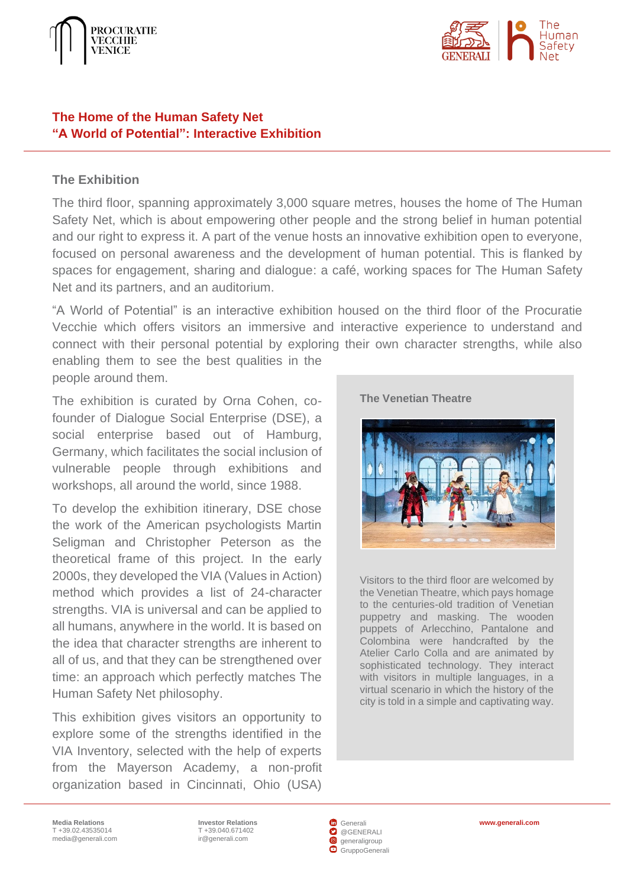



#### <span id="page-11-0"></span>**The Home of the Human Safety Net "A World of Potential": Interactive Exhibition**

#### **The Exhibition**

The third floor, spanning approximately 3,000 square metres, houses the home of The Human Safety Net, which is about empowering other people and the strong belief in human potential and our right to express it. A part of the venue hosts an innovative exhibition open to everyone, focused on personal awareness and the development of human potential. This is flanked by spaces for engagement, sharing and dialogue: a café, working spaces for The Human Safety Net and its partners, and an auditorium.

"A World of Potential" is an interactive exhibition housed on the third floor of the Procuratie Vecchie which offers visitors an immersive and interactive experience to understand and connect with their personal potential by exploring their own character strengths, while also enabling them to see the best qualities in the people around them.

The exhibition is curated by Orna Cohen, cofounder of Dialogue Social Enterprise (DSE), a social enterprise based out of Hamburg, Germany, which facilitates the social inclusion of vulnerable people through exhibitions and workshops, all around the world, since 1988.

To develop the exhibition itinerary, DSE chose the work of the American psychologists Martin Seligman and Christopher Peterson as the theoretical frame of this project. In the early 2000s, they developed the VIA (Values in Action) method which provides a list of 24-character strengths. VIA is universal and can be applied to all humans, anywhere in the world. It is based on the idea that character strengths are inherent to all of us, and that they can be strengthened over time: an approach which perfectly matches The Human Safety Net philosophy.

This exhibition gives visitors an opportunity to explore some of the strengths identified in the VIA Inventory, selected with the help of experts from the Mayerson Academy, a non-profit organization based in Cincinnati, Ohio (USA)





Visitors to the third floor are welcomed by the Venetian Theatre, which pays homage to the centuries-old tradition of Venetian puppetry and masking. The wooden puppets of Arlecchino, Pantalone and Colombina were handcrafted by the Atelier Carlo Colla and are animated by sophisticated technology. They interact with visitors in multiple languages, in a virtual scenario in which the history of the city is told in a simple and captivating way.

**Media Relations** T +39.02.43535014 [media@generali.com](mailto:media@generali.com)

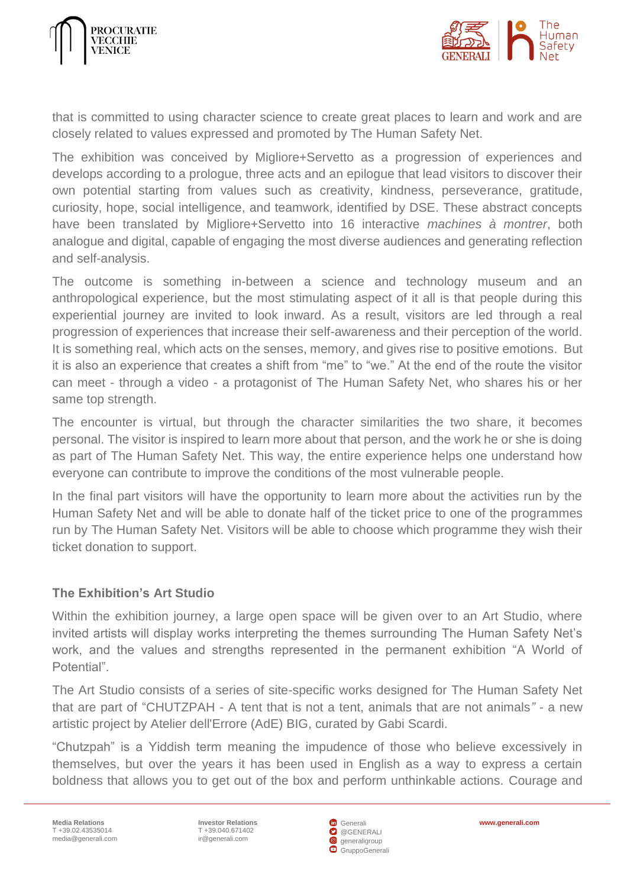



that is committed to using character science to create great places to learn and work and are closely related to values expressed and promoted by The Human Safety Net.

The exhibition was conceived by Migliore+Servetto as a progression of experiences and develops according to a prologue, three acts and an epilogue that lead visitors to discover their own potential starting from values such as creativity, kindness, perseverance, gratitude, curiosity, hope, social intelligence, and teamwork, identified by DSE. These abstract concepts have been translated by Migliore+Servetto into 16 interactive *machines à montrer*, both analogue and digital, capable of engaging the most diverse audiences and generating reflection and self-analysis.

The outcome is something in-between a science and technology museum and an anthropological experience, but the most stimulating aspect of it all is that people during this experiential journey are invited to look inward. As a result, visitors are led through a real progression of experiences that increase their self-awareness and their perception of the world. It is something real, which acts on the senses, memory, and gives rise to positive emotions. But it is also an experience that creates a shift from "me" to "we." At the end of the route the visitor can meet - through a video - a protagonist of The Human Safety Net, who shares his or her same top strength.

The encounter is virtual, but through the character similarities the two share, it becomes personal. The visitor is inspired to learn more about that person, and the work he or she is doing as part of The Human Safety Net. This way, the entire experience helps one understand how everyone can contribute to improve the conditions of the most vulnerable people.

In the final part visitors will have the opportunity to learn more about the activities run by the Human Safety Net and will be able to donate half of the ticket price to one of the programmes run by The Human Safety Net. Visitors will be able to choose which programme they wish their ticket donation to support.

## **The Exhibition's Art Studio**

Within the exhibition journey, a large open space will be given over to an Art Studio, where invited artists will display works interpreting the themes surrounding The Human Safety Net's work, and the values and strengths represented in the permanent exhibition "A World of Potential".

The Art Studio consists of a series of site-specific works designed for The Human Safety Net that are part of "CHUTZPAH - A tent that is not a tent, animals that are not animals*"* - a new artistic project by Atelier dell'Errore (AdE) BIG, curated by Gabi Scardi.

"Chutzpah" is a Yiddish term meaning the impudence of those who believe excessively in themselves, but over the years it has been used in English as a way to express a certain boldness that allows you to get out of the box and perform unthinkable actions. Courage and

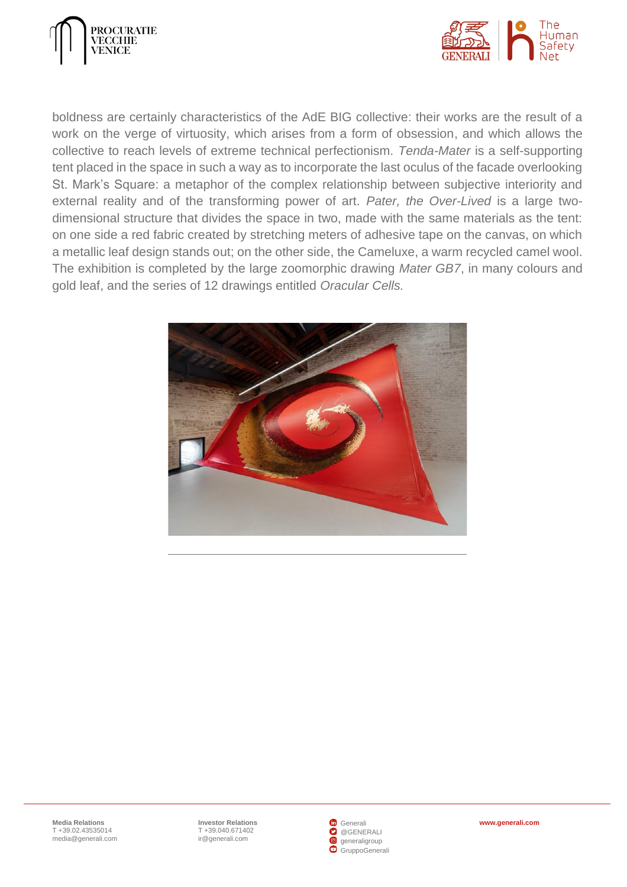



boldness are certainly characteristics of the AdE BIG collective: their works are the result of a work on the verge of virtuosity, which arises from a form of obsession, and which allows the collective to reach levels of extreme technical perfectionism. *Tenda-Mater* is a self-supporting tent placed in the space in such a way as to incorporate the last oculus of the facade overlooking St. Mark's Square: a metaphor of the complex relationship between subjective interiority and external reality and of the transforming power of art. *Pater, the Over-Lived* is a large twodimensional structure that divides the space in two, made with the same materials as the tent: on one side a red fabric created by stretching meters of adhesive tape on the canvas, on which a metallic leaf design stands out; on the other side, the Cameluxe, a warm recycled camel wool. The exhibition is completed by the large zoomorphic drawing *Mater GB7*, in many colours and gold leaf, and the series of 12 drawings entitled *Oracular Cells.*



**Investor Relations [www.generali.com](http://www.generali.com/)** T +39.040.671402 [ir@generali.com](mailto:ir@generali.com)

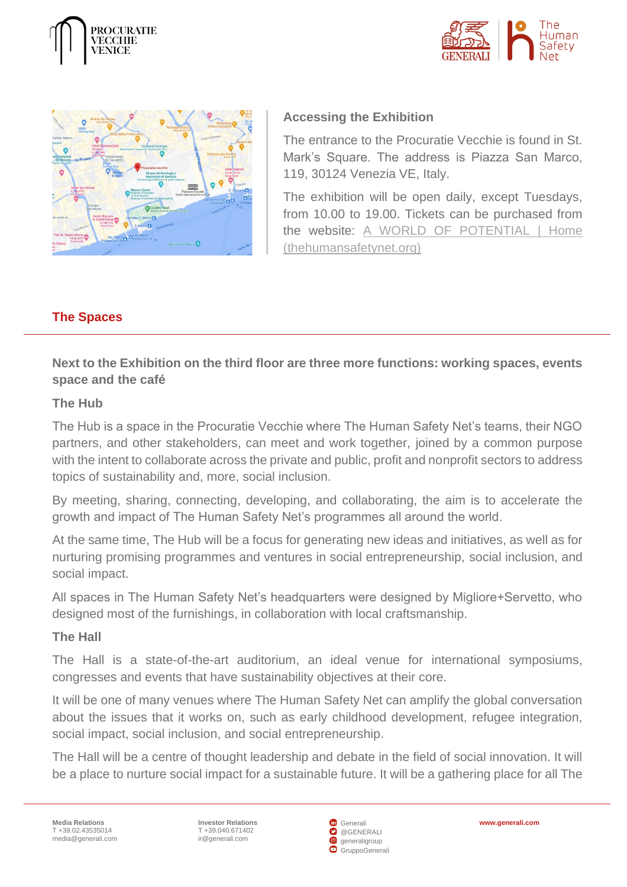





# **Accessing the Exhibition**

The entrance to the Procuratie Vecchie is found in St. Mark's Square. The address is Piazza San Marco, 119, 30124 Venezia VE, Italy.

The exhibition will be open daily, except Tuesdays, from 10.00 to 19.00. Tickets can be purchased from the website: [A WORLD OF POTENTIAL | Home](https://www.thehumansafetynet.org/visitaworldofpotential)  [\(thehumansafetynet.org\)](https://www.thehumansafetynet.org/visitaworldofpotential)

# <span id="page-14-0"></span>**The Spaces**

**Next to the Exhibition on the third floor are three more functions: working spaces, events space and the café** 

## **The Hub**

The Hub is a space in the Procuratie Vecchie where The Human Safety Net's teams, their NGO partners, and other stakeholders, can meet and work together, joined by a common purpose with the intent to collaborate across the private and public, profit and nonprofit sectors to address topics of sustainability and, more, social inclusion.

By meeting, sharing, connecting, developing, and collaborating, the aim is to accelerate the growth and impact of The Human Safety Net's programmes all around the world.

At the same time, The Hub will be a focus for generating new ideas and initiatives, as well as for nurturing promising programmes and ventures in social entrepreneurship, social inclusion, and social impact.

All spaces in The Human Safety Net's headquarters were designed by Migliore+Servetto, who designed most of the furnishings, in collaboration with local craftsmanship.

## **The Hall**

The Hall is a state-of-the-art auditorium, an ideal venue for international symposiums, congresses and events that have sustainability objectives at their core.

It will be one of many venues where The Human Safety Net can amplify the global conversation about the issues that it works on, such as early childhood development, refugee integration, social impact, social inclusion, and social entrepreneurship.

The Hall will be a centre of thought leadership and debate in the field of social innovation. It will be a place to nurture social impact for a sustainable future. It will be a gathering place for all The

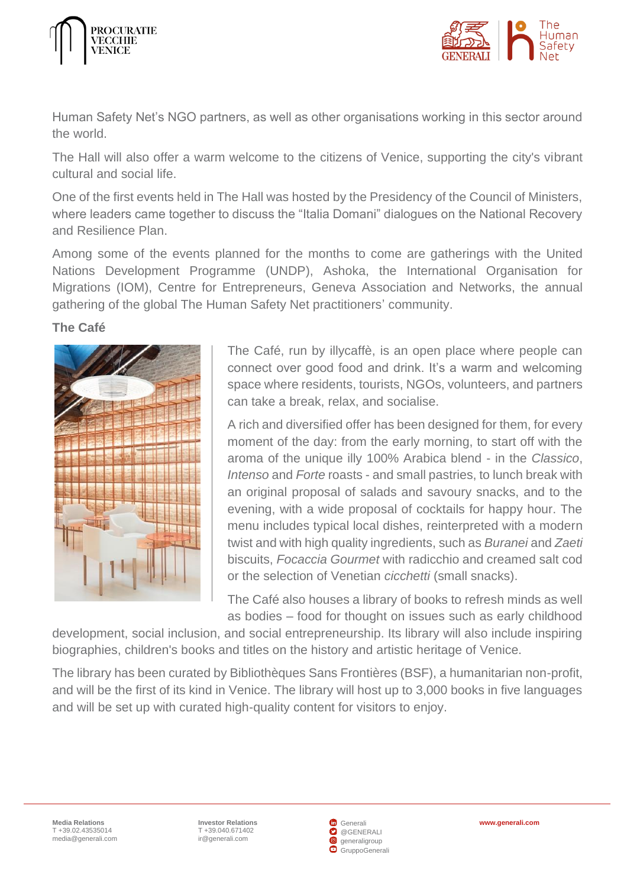



Human Safety Net's NGO partners, as well as other organisations working in this sector around the world.

The Hall will also offer a warm welcome to the citizens of Venice, supporting the city's vibrant cultural and social life.

One of the first events held in The Hall was hosted by the Presidency of the Council of Ministers, where leaders came together to discuss the "Italia Domani" dialogues on the National Recovery and Resilience Plan.

Among some of the events planned for the months to come are gatherings with the United Nations Development Programme (UNDP), Ashoka, the International Organisation for Migrations (IOM), Centre for Entrepreneurs, Geneva Association and Networks, the annual gathering of the global The Human Safety Net practitioners' community.

**The Café**



The Café, run by illycaffè, is an open place where people can connect over good food and drink. It's a warm and welcoming space where residents, tourists, NGOs, volunteers, and partners can take a break, relax, and socialise.

A rich and diversified offer has been designed for them, for every moment of the day: from the early morning, to start off with the aroma of the unique illy 100% Arabica blend - in the *Classico*, *Intenso* and *Forte* roasts - and small pastries, to lunch break with an original proposal of salads and savoury snacks, and to the evening, with a wide proposal of cocktails for happy hour. The menu includes typical local dishes, reinterpreted with a modern twist and with high quality ingredients, such as *Buranei* and *Zaeti* biscuits, *Focaccia Gourmet* with radicchio and creamed salt cod or the selection of Venetian *cicchetti* (small snacks).

The Café also houses a library of books to refresh minds as well as bodies – food for thought on issues such as early childhood

development, social inclusion, and social entrepreneurship. Its library will also include inspiring biographies, children's books and titles on the history and artistic heritage of Venice.

The library has been curated by Bibliothèques Sans Frontières (BSF), a humanitarian non-profit, and will be the first of its kind in Venice. The library will host up to 3,000 books in five languages and will be set up with curated high-quality content for visitors to enjoy.

**Investor Relations [www.generali.com](http://www.generali.com/)** T +39.040.671402 [ir@generali.com](mailto:ir@generali.com)

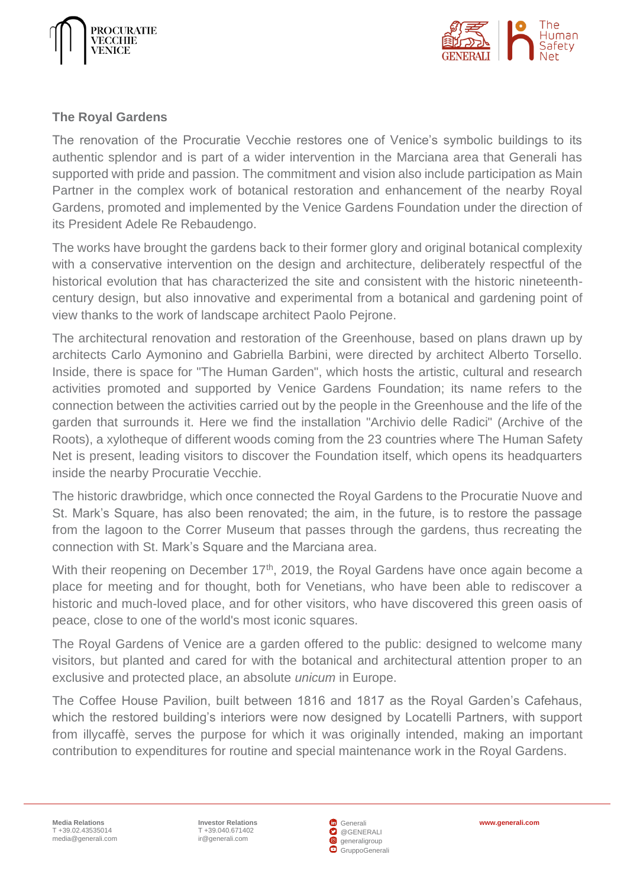



#### <span id="page-16-0"></span>**The Royal Gardens**

The renovation of the Procuratie Vecchie restores one of Venice's symbolic buildings to its authentic splendor and is part of a wider intervention in the Marciana area that Generali has supported with pride and passion. The commitment and vision also include participation as Main Partner in the complex work of botanical restoration and enhancement of the nearby Royal Gardens, promoted and implemented by the Venice Gardens Foundation under the direction of its President Adele Re Rebaudengo.

The works have brought the gardens back to their former glory and original botanical complexity with a conservative intervention on the design and architecture, deliberately respectful of the historical evolution that has characterized the site and consistent with the historic nineteenthcentury design, but also innovative and experimental from a botanical and gardening point of view thanks to the work of landscape architect Paolo Pejrone.

The architectural renovation and restoration of the Greenhouse, based on plans drawn up by architects Carlo Aymonino and Gabriella Barbini, were directed by architect Alberto Torsello. Inside, there is space for "The Human Garden", which hosts the artistic, cultural and research activities promoted and supported by Venice Gardens Foundation; its name refers to the connection between the activities carried out by the people in the Greenhouse and the life of the garden that surrounds it. Here we find the installation "Archivio delle Radici" (Archive of the Roots), a xylotheque of different woods coming from the 23 countries where The Human Safety Net is present, leading visitors to discover the Foundation itself, which opens its headquarters inside the nearby Procuratie Vecchie.

The historic drawbridge, which once connected the Royal Gardens to the Procuratie Nuove and St. Mark's Square, has also been renovated; the aim, in the future, is to restore the passage from the lagoon to the Correr Museum that passes through the gardens, thus recreating the connection with St. Mark's Square and the Marciana area.

With their reopening on December 17<sup>th</sup>, 2019, the Royal Gardens have once again become a place for meeting and for thought, both for Venetians, who have been able to rediscover a historic and much-loved place, and for other visitors, who have discovered this green oasis of peace, close to one of the world's most iconic squares.

The Royal Gardens of Venice are a garden offered to the public: designed to welcome many visitors, but planted and cared for with the botanical and architectural attention proper to an exclusive and protected place, an absolute *unicum* in Europe.

The Coffee House Pavilion, built between 1816 and 1817 as the Royal Garden's Cafehaus, which the restored building's interiors were now designed by Locatelli Partners, with support from illycaffè, serves the purpose for which it was originally intended, making an important contribution to expenditures for routine and special maintenance work in the Royal Gardens.

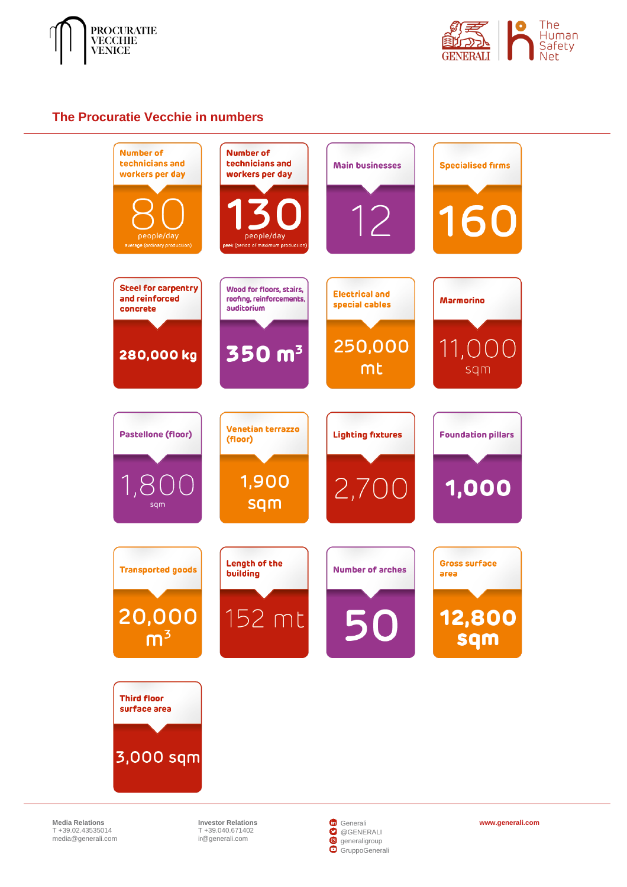



#### <span id="page-17-0"></span>**The Procuratie Vecchie in numbers**



**Media Relations** T +39.02.43535014 [media@generali.com](mailto:media@generali.com)

T +39.040.671402 [ir@generali.com](mailto:ir@generali.com)



**Investor Relations [www.generali.com](http://www.generali.com/)**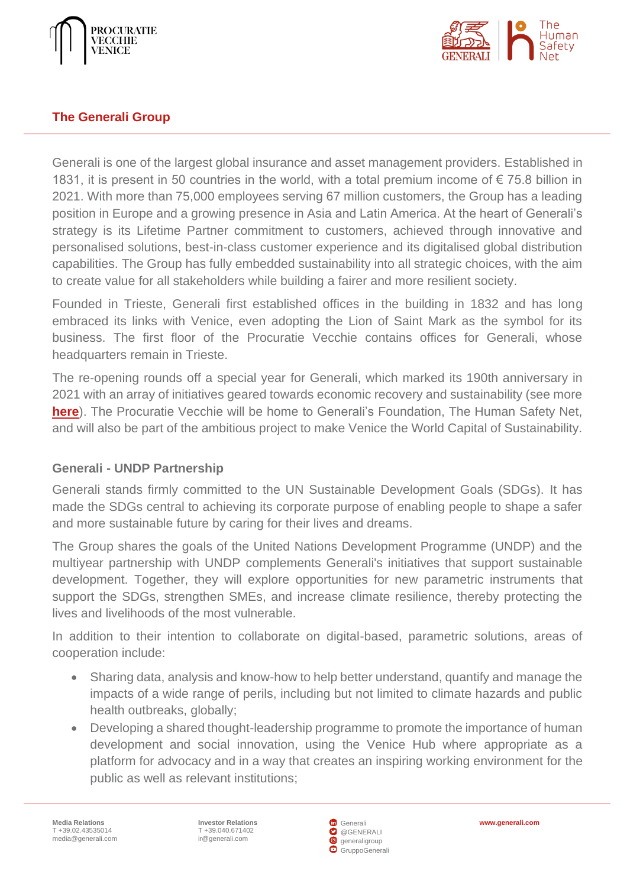



## <span id="page-18-0"></span>**The Generali Group**

Generali is one of the largest global insurance and asset management providers. Established in 1831, it is present in 50 countries in the world, with a total premium income of  $\epsilon$  75.8 billion in 2021. With more than 75,000 employees serving 67 million customers, the Group has a leading position in Europe and a growing presence in Asia and Latin America. At the heart of Generali's strategy is its Lifetime Partner commitment to customers, achieved through innovative and personalised solutions, best-in-class customer experience and its digitalised global distribution capabilities. The Group has fully embedded sustainability into all strategic choices, with the aim to create value for all stakeholders while building a fairer and more resilient society.

Founded in Trieste, Generali first established offices in the building in 1832 and has long embraced its links with Venice, even adopting the Lion of Saint Mark as the symbol for its business. The first floor of the Procuratie Vecchie contains offices for Generali, whose headquarters remain in Trieste.

The re-opening rounds off a special year for Generali, which marked its 190th anniversary in 2021 with an array of initiatives geared towards economic recovery and sustainability (see more **[here](https://www.generali.com/Generali-190-Anniversary)**). The Procuratie Vecchie will be home to Generali's Foundation, The Human Safety Net, and will also be part of the ambitious project to make Venice the World Capital of Sustainability.

## **Generali - UNDP Partnership**

Generali stands firmly committed to the UN Sustainable Development Goals (SDGs). It has made the SDGs central to achieving its corporate purpose of enabling people to shape a safer and more sustainable future by caring for their lives and dreams.

The Group shares the goals of the United Nations Development Programme (UNDP) and the multiyear partnership with UNDP complements Generali's initiatives that support sustainable development. Together, they will explore opportunities for new parametric instruments that support the SDGs, strengthen SMEs, and increase climate resilience, thereby protecting the lives and livelihoods of the most vulnerable.

In addition to their intention to collaborate on digital-based, parametric solutions, areas of cooperation include:

- Sharing data, analysis and know-how to help better understand, quantify and manage the impacts of a wide range of perils, including but not limited to climate hazards and public health outbreaks, globally;
- Developing a shared thought-leadership programme to promote the importance of human development and social innovation, using the Venice Hub where appropriate as a platform for advocacy and in a way that creates an inspiring working environment for the public as well as relevant institutions;

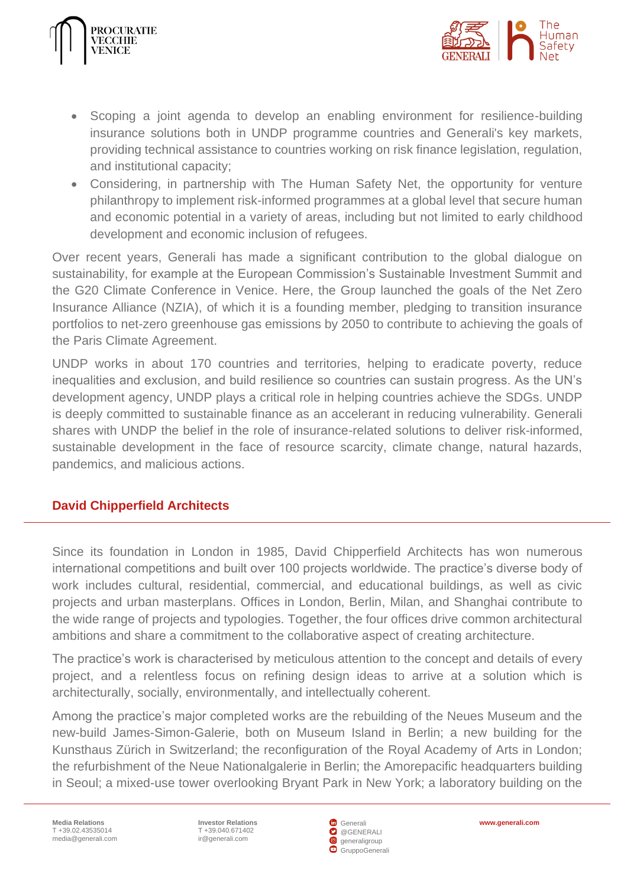



- Scoping a joint agenda to develop an enabling environment for resilience-building insurance solutions both in UNDP programme countries and Generali's key markets, providing technical assistance to countries working on risk finance legislation, regulation, and institutional capacity;
- Considering, in partnership with The Human Safety Net, the opportunity for venture philanthropy to implement risk-informed programmes at a global level that secure human and economic potential in a variety of areas, including but not limited to early childhood development and economic inclusion of refugees.

Over recent years, Generali has made a significant contribution to the global dialogue on sustainability, for example at the European Commission's Sustainable Investment Summit and the G20 Climate Conference in Venice. Here, the Group launched the goals of the Net Zero Insurance Alliance (NZIA), of which it is a founding member, pledging to transition insurance portfolios to net-zero greenhouse gas emissions by 2050 to contribute to achieving the goals of the Paris Climate Agreement.

UNDP works in about 170 countries and territories, helping to eradicate poverty, reduce inequalities and exclusion, and build resilience so countries can sustain progress. As the UN's development agency, UNDP plays a critical role in helping countries achieve the SDGs. UNDP is deeply committed to sustainable finance as an accelerant in reducing vulnerability. Generali shares with UNDP the belief in the role of insurance-related solutions to deliver risk-informed, sustainable development in the face of resource scarcity, climate change, natural hazards, pandemics, and malicious actions.

## <span id="page-19-0"></span>**David Chipperfield Architects**

Since its foundation in London in 1985, David Chipperfield Architects has won numerous international competitions and built over 100 projects worldwide. The practice's diverse body of work includes cultural, residential, commercial, and educational buildings, as well as civic projects and urban masterplans. Offices in London, Berlin, Milan, and Shanghai contribute to the wide range of projects and typologies. Together, the four offices drive common architectural ambitions and share a commitment to the collaborative aspect of creating architecture.

The practice's work is characterised by meticulous attention to the concept and details of every project, and a relentless focus on refining design ideas to arrive at a solution which is architecturally, socially, environmentally, and intellectually coherent.

Among the practice's major completed works are the rebuilding of the Neues Museum and the new-build James-Simon-Galerie, both on Museum Island in Berlin; a new building for the Kunsthaus Zürich in Switzerland; the reconfiguration of the Royal Academy of Arts in London; the refurbishment of the Neue Nationalgalerie in Berlin; the Amorepacific headquarters building in Seoul; a mixed-use tower overlooking Bryant Park in New York; a laboratory building on the

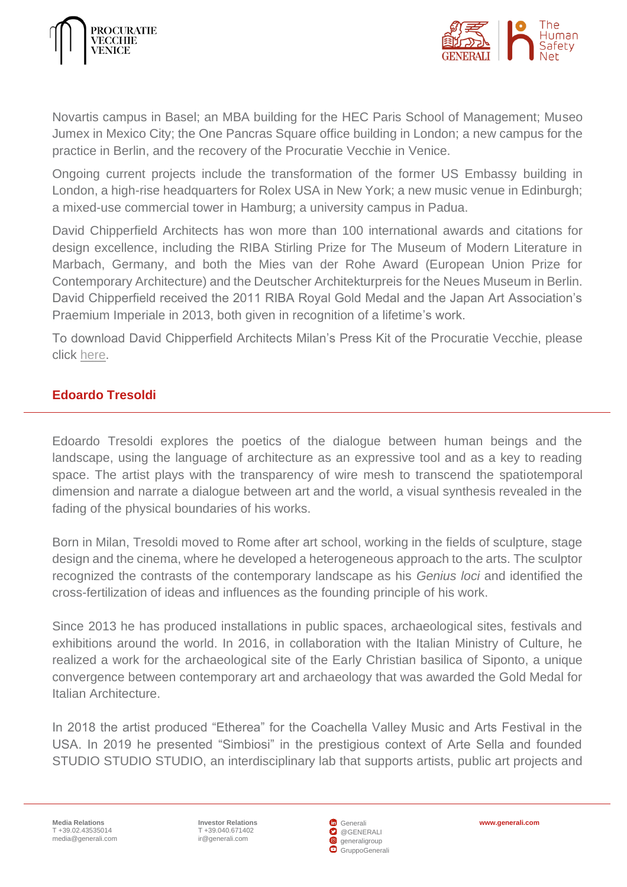



Novartis campus in Basel; an MBA building for the HEC Paris School of Management; Museo Jumex in Mexico City; the One Pancras Square office building in London; a new campus for the practice in Berlin, and the recovery of the Procuratie Vecchie in Venice.

Ongoing current projects include the transformation of the former US Embassy building in London, a high-rise headquarters for Rolex USA in New York; a new music venue in Edinburgh; a mixed-use commercial tower in Hamburg; a university campus in Padua.

David Chipperfield Architects has won more than 100 international awards and citations for design excellence, including the RIBA Stirling Prize for The Museum of Modern Literature in Marbach, Germany, and both the Mies van der Rohe Award (European Union Prize for Contemporary Architecture) and the Deutscher Architekturpreis for the Neues Museum in Berlin. David Chipperfield received the 2011 RIBA Royal Gold Medal and the Japan Art Association's Praemium Imperiale in 2013, both given in recognition of a lifetime's work.

To download David Chipperfield Architects Milan's Press Kit of the Procuratie Vecchie, please click [here.](https://www.dropbox.com/sh/ea07rqacb6gw1cz/AAA839sHeJVHCukuvLvx3kuQa?dl=0)

## <span id="page-20-0"></span>**Edoardo Tresoldi**

Edoardo Tresoldi explores the poetics of the dialogue between human beings and the landscape, using the language of architecture as an expressive tool and as a key to reading space. The artist plays with the transparency of wire mesh to transcend the spatiotemporal dimension and narrate a dialogue between art and the world, a visual synthesis revealed in the fading of the physical boundaries of his works.

Born in Milan, Tresoldi moved to Rome after art school, working in the fields of sculpture, stage design and the cinema, where he developed a heterogeneous approach to the arts. The sculptor recognized the contrasts of the contemporary landscape as his *Genius loci* and identified the cross-fertilization of ideas and influences as the founding principle of his work.

Since 2013 he has produced installations in public spaces, archaeological sites, festivals and exhibitions around the world. In 2016, in collaboration with the Italian Ministry of Culture, he realized a work for the archaeological site of the Early Christian basilica of Siponto, a unique convergence between contemporary art and archaeology that was awarded the Gold Medal for Italian Architecture.

In 2018 the artist produced "Etherea" for the Coachella Valley Music and Arts Festival in the USA. In 2019 he presented "Simbiosi" in the prestigious context of Arte Sella and founded STUDIO STUDIO STUDIO, an interdisciplinary lab that supports artists, public art projects and

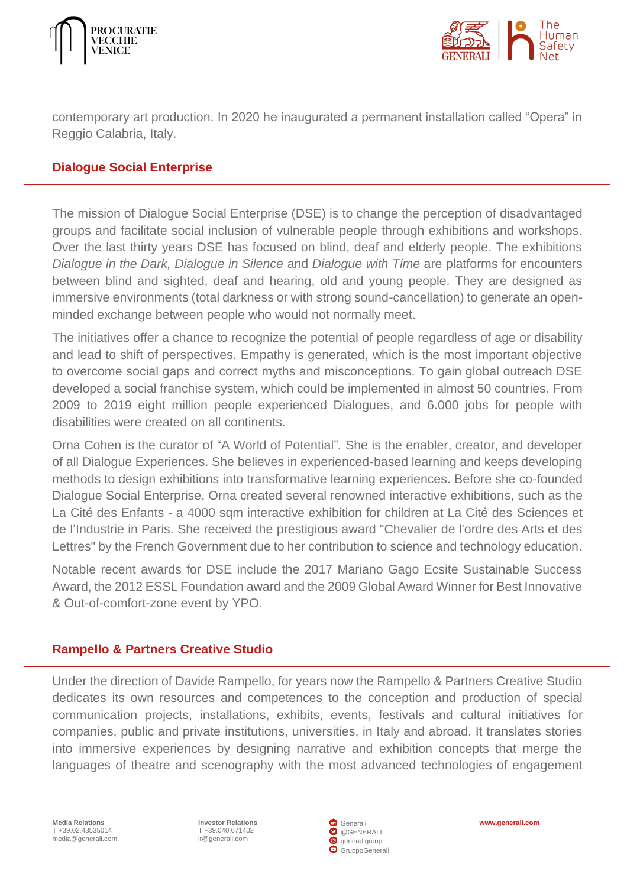



contemporary art production. In 2020 he inaugurated a permanent installation called "Opera" in Reggio Calabria, Italy.

#### <span id="page-21-0"></span>**Dialogue Social Enterprise**

The mission of Dialogue Social Enterprise (DSE) is to change the perception of disadvantaged groups and facilitate social inclusion of vulnerable people through exhibitions and workshops. Over the last thirty years DSE has focused on blind, deaf and elderly people. The exhibitions *Dialogue in the Dark, Dialogue in Silence* and *Dialogue with Time* are platforms for encounters between blind and sighted, deaf and hearing, old and young people. They are designed as immersive environments (total darkness or with strong sound-cancellation) to generate an openminded exchange between people who would not normally meet.

The initiatives offer a chance to recognize the potential of people regardless of age or disability and lead to shift of perspectives. Empathy is generated, which is the most important objective to overcome social gaps and correct myths and misconceptions. To gain global outreach DSE developed a social franchise system, which could be implemented in almost 50 countries. From 2009 to 2019 eight million people experienced Dialogues, and 6.000 jobs for people with disabilities were created on all continents.

Orna Cohen is the curator of "A World of Potential"*.* She is the enabler, creator, and developer of all Dialogue Experiences. She believes in experienced-based learning and keeps developing methods to design exhibitions into transformative learning experiences. Before she co-founded Dialogue Social Enterprise, Orna created several renowned interactive exhibitions, such as the La Cité des Enfants - a 4000 sqm interactive exhibition for children at La Cité des Sciences et de l'Industrie in Paris. She received the prestigious award "Chevalier de l'ordre des Arts et des Lettres" by the French Government due to her contribution to science and technology education.

Notable recent awards for DSE include the 2017 Mariano Gago Ecsite Sustainable Success Award, the 2012 ESSL Foundation award and the 2009 Global Award Winner for Best Innovative & Out-of-comfort-zone event by YPO.

#### <span id="page-21-1"></span>**Rampello & Partners Creative Studio**

Under the direction of Davide Rampello, for years now the Rampello & Partners Creative Studio dedicates its own resources and competences to the conception and production of special communication projects, installations, exhibits, events, festivals and cultural initiatives for companies, public and private institutions, universities, in Italy and abroad. It translates stories into immersive experiences by designing narrative and exhibition concepts that merge the languages of theatre and scenography with the most advanced technologies of engagement

T +39.040.671402 [ir@generali.com](mailto:ir@generali.com)



**Investor Relations [www.generali.com](http://www.generali.com/)**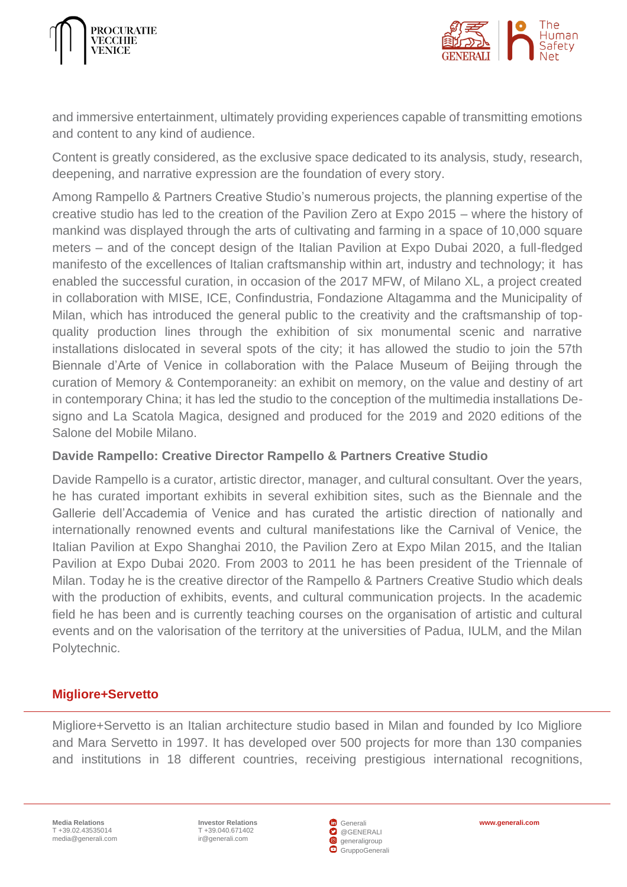



and immersive entertainment, ultimately providing experiences capable of transmitting emotions and content to any kind of audience.

Content is greatly considered, as the exclusive space dedicated to its analysis, study, research, deepening, and narrative expression are the foundation of every story.

Among Rampello & Partners Creative Studio's numerous projects, the planning expertise of the creative studio has led to the creation of the Pavilion Zero at Expo 2015 – where the history of mankind was displayed through the arts of cultivating and farming in a space of 10,000 square meters – and of the concept design of the Italian Pavilion at Expo Dubai 2020, a full-fledged manifesto of the excellences of Italian craftsmanship within art, industry and technology; it has enabled the successful curation, in occasion of the 2017 MFW, of Milano XL, a project created in collaboration with MISE, ICE, Confindustria, Fondazione Altagamma and the Municipality of Milan, which has introduced the general public to the creativity and the craftsmanship of topquality production lines through the exhibition of six monumental scenic and narrative installations dislocated in several spots of the city; it has allowed the studio to join the 57th Biennale d'Arte of Venice in collaboration with the Palace Museum of Beijing through the curation of Memory & Contemporaneity: an exhibit on memory, on the value and destiny of art in contemporary China; it has led the studio to the conception of the multimedia installations Designo and La Scatola Magica, designed and produced for the 2019 and 2020 editions of the Salone del Mobile Milano.

## **Davide Rampello: Creative Director Rampello & Partners Creative Studio**

Davide Rampello is a curator, artistic director, manager, and cultural consultant. Over the years, he has curated important exhibits in several exhibition sites, such as the Biennale and the Gallerie dell'Accademia of Venice and has curated the artistic direction of nationally and internationally renowned events and cultural manifestations like the Carnival of Venice, the Italian Pavilion at Expo Shanghai 2010, the Pavilion Zero at Expo Milan 2015, and the Italian Pavilion at Expo Dubai 2020. From 2003 to 2011 he has been president of the Triennale of Milan. Today he is the creative director of the Rampello & Partners Creative Studio which deals with the production of exhibits, events, and cultural communication projects. In the academic field he has been and is currently teaching courses on the organisation of artistic and cultural events and on the valorisation of the territory at the universities of Padua, IULM, and the Milan Polytechnic.

#### <span id="page-22-0"></span>**Migliore+Servetto**

Migliore+Servetto is an Italian architecture studio based in Milan and founded by Ico Migliore and Mara Servetto in 1997. It has developed over 500 projects for more than 130 companies and institutions in 18 different countries, receiving prestigious international recognitions,

T +39.040.671402 [ir@generali.com](mailto:ir@generali.com)



**Investor Relations [www.generali.com](http://www.generali.com/)**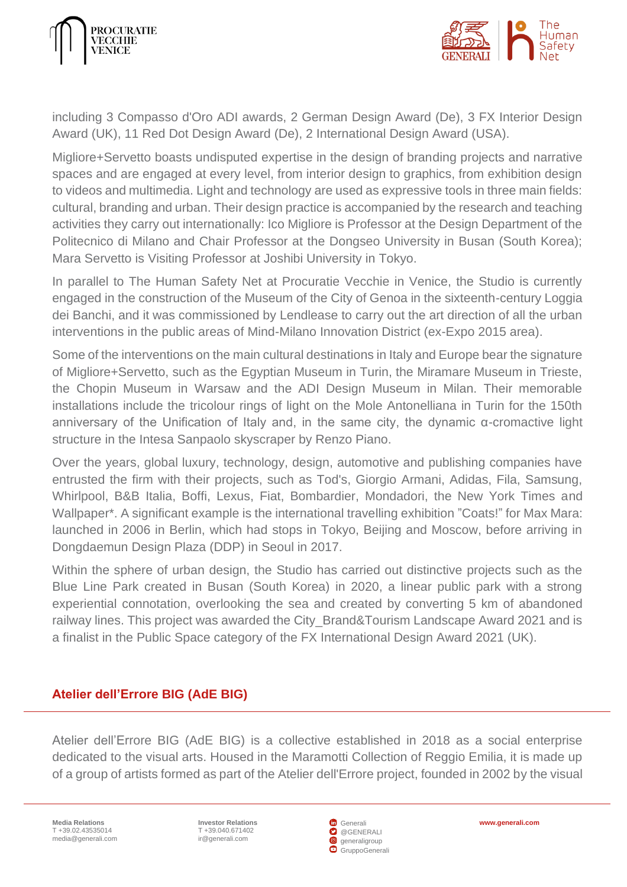



including 3 Compasso d'Oro ADI awards, 2 German Design Award (De), 3 FX Interior Design Award (UK), 11 Red Dot Design Award (De), 2 International Design Award (USA).

Migliore+Servetto boasts undisputed expertise in the design of branding projects and narrative spaces and are engaged at every level, from interior design to graphics, from exhibition design to videos and multimedia. Light and technology are used as expressive tools in three main fields: cultural, branding and urban. Their design practice is accompanied by the research and teaching activities they carry out internationally: Ico Migliore is Professor at the Design Department of the Politecnico di Milano and Chair Professor at the Dongseo University in Busan (South Korea); Mara Servetto is Visiting Professor at Joshibi University in Tokyo.

In parallel to The Human Safety Net at Procuratie Vecchie in Venice, the Studio is currently engaged in the construction of the Museum of the City of Genoa in the sixteenth-century Loggia dei Banchi, and it was commissioned by Lendlease to carry out the art direction of all the urban interventions in the public areas of Mind-Milano Innovation District (ex-Expo 2015 area).

Some of the interventions on the main cultural destinations in Italy and Europe bear the signature of Migliore+Servetto, such as the Egyptian Museum in Turin, the Miramare Museum in Trieste, the Chopin Museum in Warsaw and the ADI Design Museum in Milan. Their memorable installations include the tricolour rings of light on the Mole Antonelliana in Turin for the 150th anniversary of the Unification of Italy and, in the same city, the dynamic α-cromactive light structure in the Intesa Sanpaolo skyscraper by Renzo Piano.

Over the years, global luxury, technology, design, automotive and publishing companies have entrusted the firm with their projects, such as Tod's, Giorgio Armani, Adidas, Fila, Samsung, Whirlpool, B&B Italia, Boffi, Lexus, Fiat, Bombardier, Mondadori, the New York Times and Wallpaper\*. A significant example is the international travelling exhibition "Coats!" for Max Mara: launched in 2006 in Berlin, which had stops in Tokyo, Beijing and Moscow, before arriving in Dongdaemun Design Plaza (DDP) in Seoul in 2017.

Within the sphere of urban design, the Studio has carried out distinctive projects such as the Blue Line Park created in Busan (South Korea) in 2020, a linear public park with a strong experiential connotation, overlooking the sea and created by converting 5 km of abandoned railway lines. This project was awarded the City\_Brand&Tourism Landscape Award 2021 and is a finalist in the Public Space category of the FX International Design Award 2021 (UK).

## <span id="page-23-0"></span>**Atelier dell'Errore BIG (AdE BIG)**

Atelier dell'Errore BIG (AdE BIG) is a collective established in 2018 as a social enterprise dedicated to the visual arts. Housed in the Maramotti Collection of Reggio Emilia, it is made up of a group of artists formed as part of the Atelier dell'Errore project, founded in 2002 by the visual

**Media Relations** T +39.02.43535014 [media@generali.com](mailto:media@generali.com) **Investor Relations [www.generali.com](http://www.generali.com/)** T +39.040.671402 [ir@generali.com](mailto:ir@generali.com)

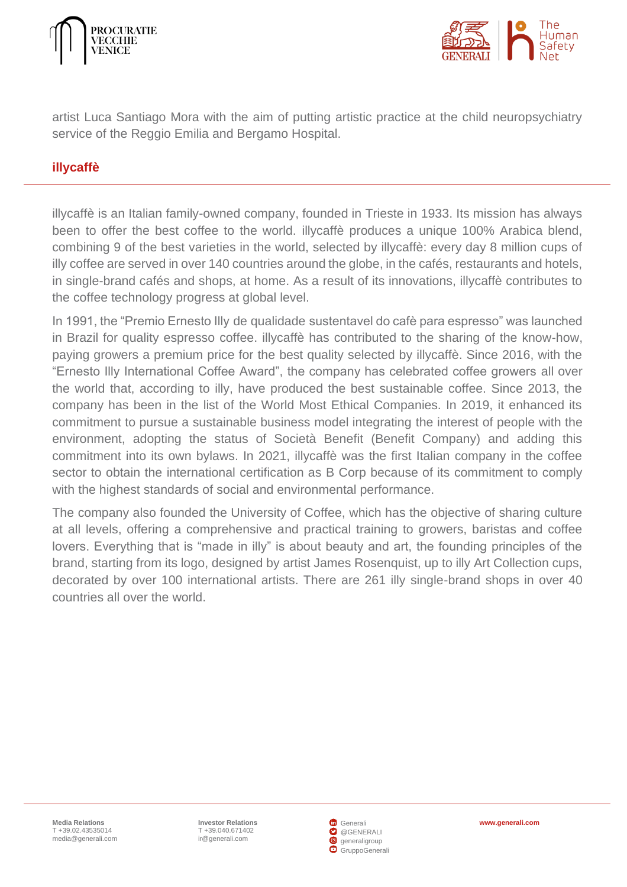



artist Luca Santiago Mora with the aim of putting artistic practice at the child neuropsychiatry service of the Reggio Emilia and Bergamo Hospital.

#### <span id="page-24-0"></span>**illycaffè**

illycaffè is an Italian family-owned company, founded in Trieste in 1933. Its mission has always been to offer the best coffee to the world. illycaffè produces a unique 100% Arabica blend, combining 9 of the best varieties in the world, selected by illycaffè: every day 8 million cups of illy coffee are served in over 140 countries around the globe, in the cafés, restaurants and hotels, in single-brand cafés and shops, at home. As a result of its innovations, illycaffè contributes to the coffee technology progress at global level.

In 1991, the "Premio Ernesto Illy de qualidade sustentavel do cafè para espresso" was launched in Brazil for quality espresso coffee. illycaffè has contributed to the sharing of the know-how, paying growers a premium price for the best quality selected by illycaffè. Since 2016, with the "Ernesto Illy International Coffee Award", the company has celebrated coffee growers all over the world that, according to illy, have produced the best sustainable coffee. Since 2013, the company has been in the list of the World Most Ethical Companies. In 2019, it enhanced its commitment to pursue a sustainable business model integrating the interest of people with the environment, adopting the status of Società Benefit (Benefit Company) and adding this commitment into its own bylaws. In 2021, illycaffè was the first Italian company in the coffee sector to obtain the international certification as B Corp because of its commitment to comply with the highest standards of social and environmental performance.

The company also founded the University of Coffee, which has the objective of sharing culture at all levels, offering a comprehensive and practical training to growers, baristas and coffee lovers. Everything that is "made in illy" is about beauty and art, the founding principles of the brand, starting from its logo, designed by artist James Rosenquist, up to illy Art Collection cups, decorated by over 100 international artists. There are 261 illy single-brand shops in over 40 countries all over the world.

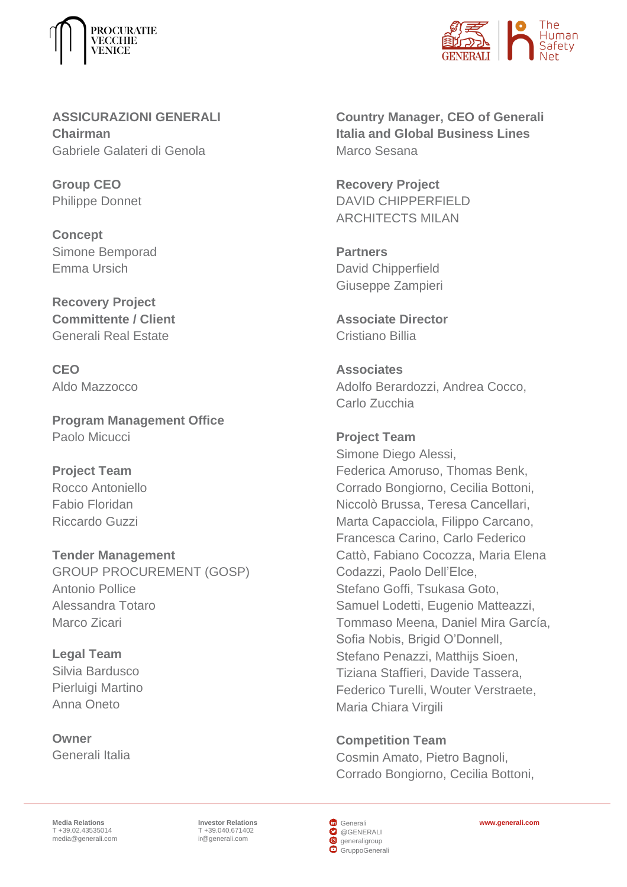



**ASSICURAZIONI GENERALI Chairman** Gabriele Galateri di Genola

**Group CEO**  Philippe Donnet

**Concept** Simone Bemporad Emma Ursich

**Recovery Project Committente / Client** Generali Real Estate

**CEO** Aldo Mazzocco

**Program Management Office** Paolo Micucci

**Project Team** Rocco Antoniello Fabio Floridan Riccardo Guzzi

**Tender Management** GROUP PROCUREMENT (GOSP) Antonio Pollice Alessandra Totaro Marco Zicari

**Legal Team** Silvia Bardusco Pierluigi Martino Anna Oneto

**Owner** Generali Italia **Country Manager, CEO of Generali Italia and Global Business Lines** Marco Sesana

**Recovery Project** DAVID CHIPPERFIELD ARCHITECTS MILAN

**Partners** David Chipperfield Giuseppe Zampieri

**Associate Director** Cristiano Billia

**Associates** Adolfo Berardozzi, Andrea Cocco, Carlo Zucchia

**Project Team** Simone Diego Alessi, Federica Amoruso, Thomas Benk, Corrado Bongiorno, Cecilia Bottoni, Niccolò Brussa, Teresa Cancellari, Marta Capacciola, Filippo Carcano, Francesca Carino, Carlo Federico Cattò, Fabiano Cocozza, Maria Elena Codazzi, Paolo Dell'Elce, Stefano Goffi, Tsukasa Goto, Samuel Lodetti, Eugenio Matteazzi, Tommaso Meena, Daniel Mira García, Sofia Nobis, Brigid O'Donnell, Stefano Penazzi, Matthijs Sioen, Tiziana Staffieri, Davide Tassera, Federico Turelli, Wouter Verstraete, Maria Chiara Virgili

**Competition Team**

Cosmin Amato, Pietro Bagnoli, Corrado Bongiorno, Cecilia Bottoni,

**Media Relations** T +39.02.43535014 [media@generali.com](mailto:media@generali.com)

T +39.040.671402 [ir@generali.com](mailto:ir@generali.com)

**G** [Generali](https://it.linkedin.com/company/generali?challengeId=AQHPGQGizfLUvwAAAX_VEZvcMgCTSUTvOCluXoQQOvwMAMO3d03IqpO8h_D4_NDqyM5qy6RbyLe6F3QugIK2r_qJPPRFcS0Aqw&submissionId=5448cbd8-ebd0-e016-9519-e8e3a827b97a) **O** [@GENERALI](https://twitter.com/GENERALI)  [generaligroup](https://www.instagram.com/generaligroup/)  [GruppoGenerali](https://www.youtube.com/channel/UCso0vgAPnhsORo-1hsIn8Jg)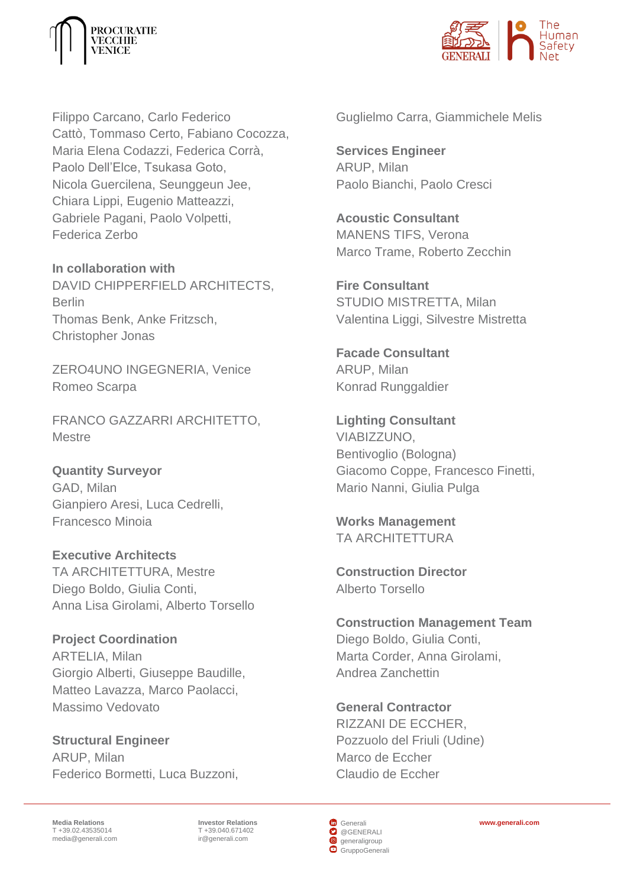



Filippo Carcano, Carlo Federico Cattò, Tommaso Certo, Fabiano Cocozza, Maria Elena Codazzi, Federica Corrà, Paolo Dell'Elce, Tsukasa Goto, Nicola Guercilena, Seunggeun Jee, Chiara Lippi, Eugenio Matteazzi, Gabriele Pagani, Paolo Volpetti, Federica Zerbo

**In collaboration with** DAVID CHIPPERFIELD ARCHITECTS, Berlin Thomas Benk, Anke Fritzsch, Christopher Jonas

ZERO4UNO INGEGNERIA, Venice Romeo Scarpa

FRANCO GAZZARRI ARCHITETTO, **Mestre** 

**Quantity Surveyor** GAD, Milan Gianpiero Aresi, Luca Cedrelli, Francesco Minoia

**Executive Architects** TA ARCHITETTURA, Mestre Diego Boldo, Giulia Conti, Anna Lisa Girolami, Alberto Torsello

**Project Coordination** ARTELIA, Milan Giorgio Alberti, Giuseppe Baudille, Matteo Lavazza, Marco Paolacci, Massimo Vedovato

**Structural Engineer** ARUP, Milan Federico Bormetti, Luca Buzzoni, Guglielmo Carra, Giammichele Melis

**Services Engineer** ARUP, Milan Paolo Bianchi, Paolo Cresci

**Acoustic Consultant** MANENS TIFS, Verona Marco Trame, Roberto Zecchin

**Fire Consultant** STUDIO MISTRETTA, Milan Valentina Liggi, Silvestre Mistretta

**Facade Consultant** ARUP, Milan Konrad Runggaldier

**Lighting Consultant** VIABIZZUNO, Bentivoglio (Bologna) Giacomo Coppe, Francesco Finetti, Mario Nanni, Giulia Pulga

**Works Management** TA ARCHITETTURA

**Construction Director** Alberto Torsello

**Construction Management Team** Diego Boldo, Giulia Conti, Marta Corder, Anna Girolami, Andrea Zanchettin

**General Contractor** RIZZANI DE ECCHER, Pozzuolo del Friuli (Udine) Marco de Eccher Claudio de Eccher

**Media Relations** T +39.02.43535014 [media@generali.com](mailto:media@generali.com)

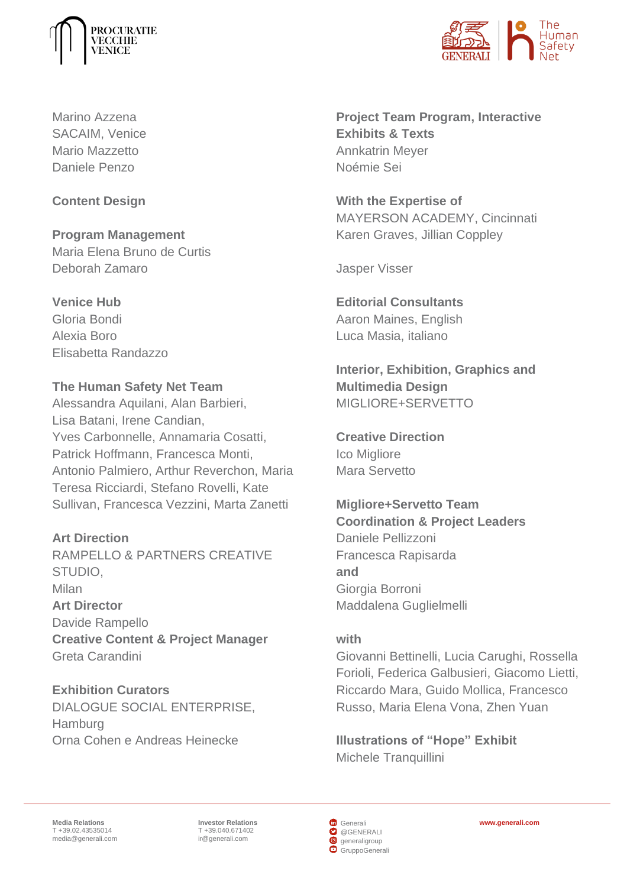



Marino Azzena SACAIM, Venice Mario Mazzetto Daniele Penzo

## **Content Design**

**Program Management**  Maria Elena Bruno de Curtis Deborah Zamaro

**Venice Hub**  Gloria Bondi

Alexia Boro Elisabetta Randazzo

# **The Human Safety Net Team**

Alessandra Aquilani, Alan Barbieri, Lisa Batani, Irene Candian, Yves Carbonnelle, Annamaria Cosatti, Patrick Hoffmann, Francesca Monti, Antonio Palmiero, Arthur Reverchon, Maria Teresa Ricciardi, Stefano Rovelli, Kate Sullivan, Francesca Vezzini, Marta Zanetti

**Art Direction**

RAMPELLO & PARTNERS CREATIVE STUDIO, Milan **Art Director** Davide Rampello **Creative Content & Project Manager** Greta Carandini

**Exhibition Curators** DIALOGUE SOCIAL ENTERPRISE, **Hamburg** Orna Cohen e Andreas Heinecke

**Project Team Program, Interactive Exhibits & Texts** Annkatrin Meyer Noémie Sei

**With the Expertise of** MAYERSON ACADEMY, Cincinnati Karen Graves, Jillian Coppley

Jasper Visser

**Editorial Consultants** Aaron Maines, English Luca Masia, italiano

**Interior, Exhibition, Graphics and Multimedia Design** MIGLIORE+SERVETTO

**Creative Direction** Ico Migliore Mara Servetto

**Migliore+Servetto Team Coordination & Project Leaders** Daniele Pellizzoni Francesca Rapisarda **and** Giorgia Borroni Maddalena Guglielmelli

#### **with**

Giovanni Bettinelli, Lucia Carughi, Rossella Forioli, Federica Galbusieri, Giacomo Lietti, Riccardo Mara, Guido Mollica, Francesco Russo, Maria Elena Vona, Zhen Yuan

**Illustrations of "Hope" Exhibit** Michele Tranquillini

**Media Relations** T +39.02.43535014 [media@generali.com](mailto:media@generali.com)

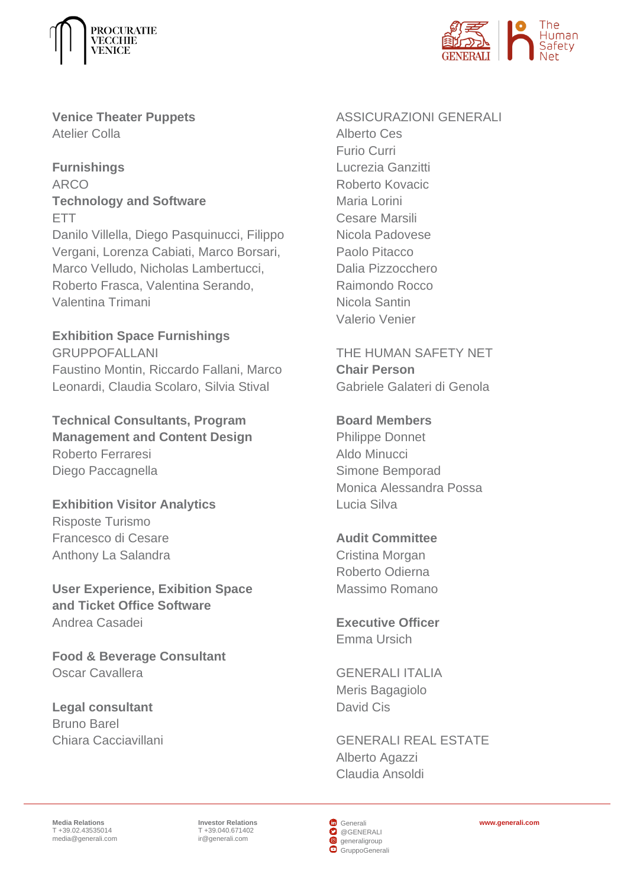



**Venice Theater Puppets** Atelier Colla

**Furnishings** ARCO **Technology and Software** ETT Danilo Villella, Diego Pasquinucci, Filippo Vergani, Lorenza Cabiati, Marco Borsari, Marco Velludo, Nicholas Lambertucci, Roberto Frasca, Valentina Serando, Valentina Trimani

**Exhibition Space Furnishings** GRUPPOFALLANI Faustino Montin, Riccardo Fallani, Marco Leonardi, Claudia Scolaro, Silvia Stival

**Technical Consultants, Program Management and Content Design** Roberto Ferraresi Diego Paccagnella

**Exhibition Visitor Analytics** Risposte Turismo Francesco di Cesare Anthony La Salandra

**User Experience, Exibition Space and Ticket Office Software** Andrea Casadei

**Food & Beverage Consultant** Oscar Cavallera

**Legal consultant** Bruno Barel Chiara Cacciavillani ASSICURAZIONI GENERALI Alberto Ces Furio Curri Lucrezia Ganzitti Roberto Kovacic Maria Lorini Cesare Marsili Nicola Padovese Paolo Pitacco Dalia Pizzocchero Raimondo Rocco Nicola Santin Valerio Venier

THE HUMAN SAFETY NET **Chair Person** Gabriele Galateri di Genola

**Board Members** Philippe Donnet Aldo Minucci Simone Bemporad Monica Alessandra Possa Lucia Silva

**Audit Committee** Cristina Morgan Roberto Odierna Massimo Romano

**Executive Officer** Emma Ursich

GENERALI ITALIA Meris Bagagiolo David Cis

GENERALI REAL ESTATE Alberto Agazzi Claudia Ansoldi

**Media Relations** T +39.02.43535014 [media@generali.com](mailto:media@generali.com)